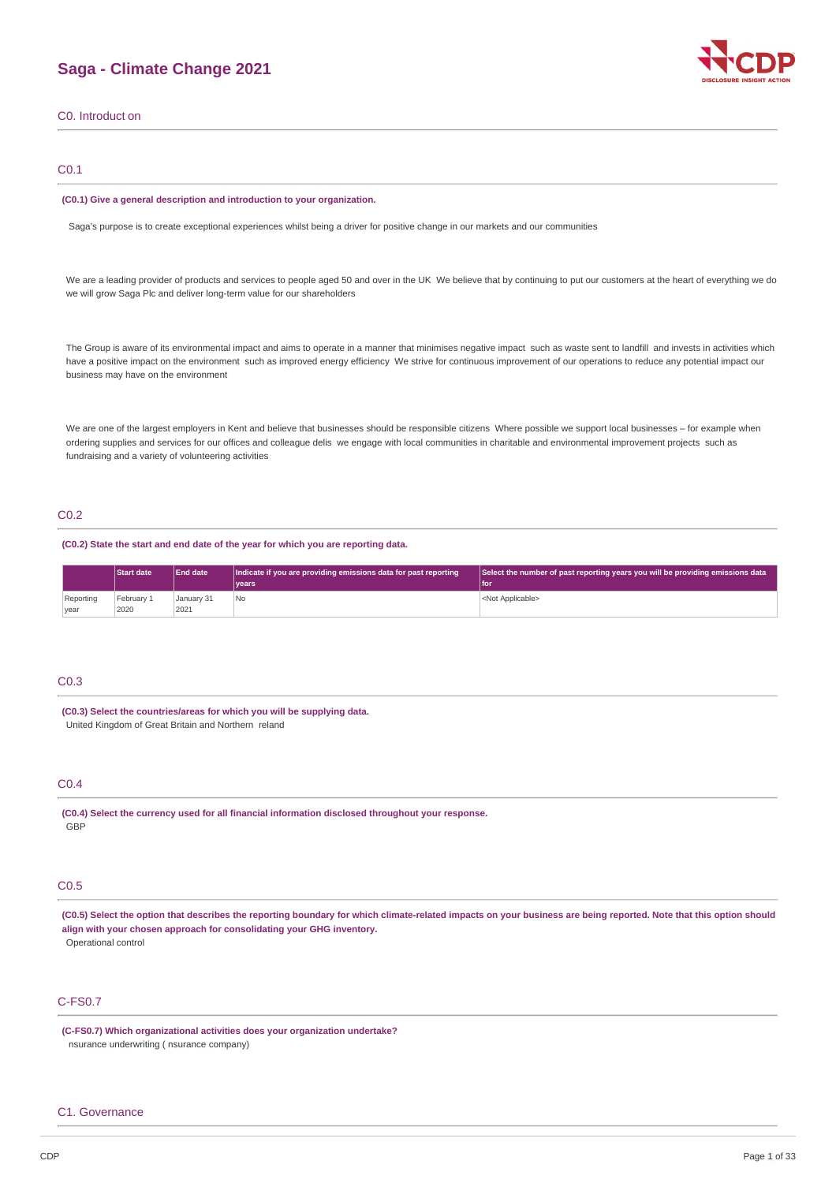# **Saga - Climate Change 2021**



C0. Introduct on

# C0.1

#### **(C0.1) Give a general description and introduction to your organization.**

Saga's purpose is to create exceptional experiences whilst being a driver for positive change in our markets and our communities

We are a leading provider of products and services to people aged 50 and over in the UK We believe that by continuing to put our customers at the heart of everything we do we will grow Saga Plc and deliver long-term value for our shareholders

The Group is aware of its environmental impact and aims to operate in a manner that minimises negative impact such as waste sent to landfill and invests in activities which have a positive impact on the environment such as improved energy efficiency We strive for continuous improvement of our operations to reduce any potential impact our business may have on the environment

We are one of the largest employers in Kent and believe that businesses should be responsible citizens Where possible we support local businesses - for example when ordering supplies and services for our offices and colleague delis we engage with local communities in charitable and environmental improvement projects such as fundraising and a variety of volunteering activities

# C0.2

**(C0.2) State the start and end date of the year for which you are reporting data.**

|                   | <b>Start date</b>  | <b>End date</b>    | Indicate if you are providing emissions data for past reporting<br>vears | Select the number of past reporting years you will be providing emissions data<br>l for |
|-------------------|--------------------|--------------------|--------------------------------------------------------------------------|-----------------------------------------------------------------------------------------|
| Reporting<br>vear | February 1<br>2020 | January 31<br>2021 | <b>No</b>                                                                | <not applicable=""></not>                                                               |

### C0.3

**(C0.3) Select the countries/areas for which you will be supplying data.** United Kingdom of Great Britain and Northern reland

# C0.4

**(C0.4) Select the currency used for all financial information disclosed throughout your response. GBP** 

# C0.5

**(C0.5) Select the option that describes the reporting boundary for which climate-related impacts on your business are being reported. Note that this option should align with your chosen approach for consolidating your GHG inventory.** Operational control

# C-FS0.7

**(C-FS0.7) Which organizational activities does your organization undertake?** nsurance underwriting ( nsurance company)

### C1. Governance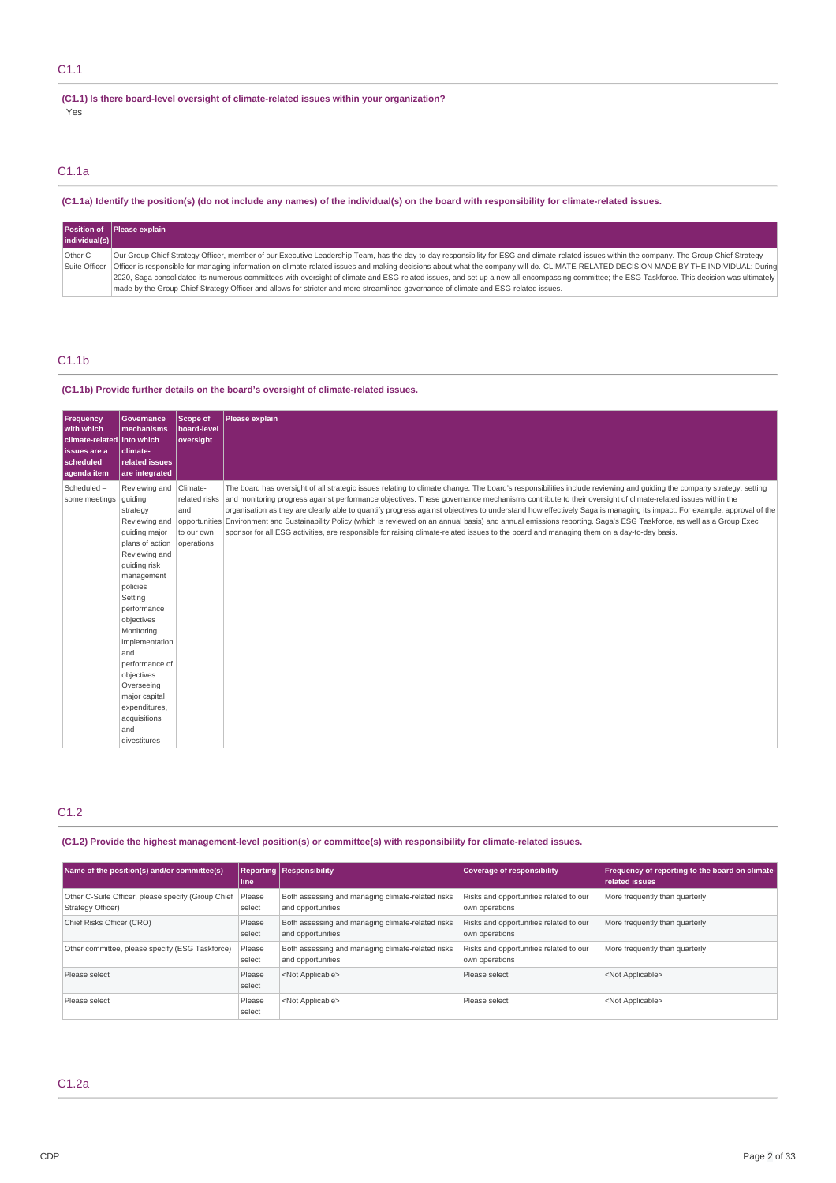# C1.1

**(C1.1) Is there board-level oversight of climate-related issues within your organization?** Yes

# C1.1a

(C1.1a) Identify the position(s) (do not include any names) of the individual(s) on the board with responsibility for climate-related issues.

| individual(s)             | Position of Please explain                                                                                                                                                                                                                                                                                                                                                                                                                                                                                                                                                                                                                                                                                                      |
|---------------------------|---------------------------------------------------------------------------------------------------------------------------------------------------------------------------------------------------------------------------------------------------------------------------------------------------------------------------------------------------------------------------------------------------------------------------------------------------------------------------------------------------------------------------------------------------------------------------------------------------------------------------------------------------------------------------------------------------------------------------------|
| Other C-<br>Suite Officer | Our Group Chief Strategy Officer, member of our Executive Leadership Team, has the day-to-day responsibility for ESG and climate-related issues within the company. The Group Chief Strategy<br>Officer is responsible for managing information on climate-related issues and making decisions about what the company will do. CLIMATE-RELATED DECISION MADE BY THE INDIVIDUAL: During<br>2020, Saga consolidated its numerous committees with oversight of climate and ESG-related issues, and set up a new all-encompassing committee; the ESG Taskforce. This decision was ultimately<br>made by the Group Chief Strategy Officer and allows for stricter and more streamlined governance of climate and ESG-related issues. |

# C1.1b

### **(C1.1b) Provide further details on the board's oversight of climate-related issues.**

| Frequency<br>with which<br>climate-related into which<br>issues are a<br>scheduled<br>agenda item | <b>Governance</b><br>mechanisms<br>climate-<br>related issues<br>are integrated                                                                                                                                                                                                                                                                            | <b>Scope of</b><br>board-level<br>oversight | Please explain                                                                                                                                                                                                                                                                                                                                                                                                                                                                                                                                                                                                                                                                                                                                                                                                                                |
|---------------------------------------------------------------------------------------------------|------------------------------------------------------------------------------------------------------------------------------------------------------------------------------------------------------------------------------------------------------------------------------------------------------------------------------------------------------------|---------------------------------------------|-----------------------------------------------------------------------------------------------------------------------------------------------------------------------------------------------------------------------------------------------------------------------------------------------------------------------------------------------------------------------------------------------------------------------------------------------------------------------------------------------------------------------------------------------------------------------------------------------------------------------------------------------------------------------------------------------------------------------------------------------------------------------------------------------------------------------------------------------|
| Scheduled-<br>some meetings                                                                       | Reviewing and<br>quiding<br>strategy<br>Reviewing and<br>guiding major<br>plans of action<br>Reviewing and<br>guiding risk<br>management<br>policies<br>Settina<br>performance<br>objectives<br>Monitorina<br>implementation<br>and<br>performance of<br>objectives<br>Overseeing<br>major capital<br>expenditures,<br>acquisitions<br>and<br>divestitures | Climate-<br>and<br>to our own<br>operations | The board has oversight of all strategic issues relating to climate change. The board's responsibilities include reviewing and quiding the company strategy, setting<br>related risks and monitoring progress against performance objectives. These governance mechanisms contribute to their oversight of climate-related issues within the<br>organisation as they are clearly able to quantify progress against objectives to understand how effectively Saga is managing its impact. For example, approval of the<br>opportunities Environment and Sustainability Policy (which is reviewed on an annual basis) and annual emissions reporting. Saga's ESG Taskforce, as well as a Group Exec<br>sponsor for all ESG activities, are responsible for raising climate-related issues to the board and managing them on a day-to-day basis. |

# C1.2

**(C1.2) Provide the highest management-level position(s) or committee(s) with responsibility for climate-related issues.**

| Name of the position(s) and/or committee(s)                             | l line i         | <b>Reporting Responsibility</b>                                        | Coverage of responsibility                               | Frequency of reporting to the board on climate-<br><b>related issues</b> |
|-------------------------------------------------------------------------|------------------|------------------------------------------------------------------------|----------------------------------------------------------|--------------------------------------------------------------------------|
| Other C-Suite Officer, please specify (Group Chief<br>Strategy Officer) | Please<br>select | Both assessing and managing climate-related risks<br>and opportunities | Risks and opportunities related to our<br>own operations | More frequently than quarterly                                           |
| Chief Risks Officer (CRO)                                               | Please<br>select | Both assessing and managing climate-related risks<br>and opportunities | Risks and opportunities related to our<br>own operations | More frequently than quarterly                                           |
| Other committee, please specify (ESG Taskforce)                         | Please<br>select | Both assessing and managing climate-related risks<br>and opportunities | Risks and opportunities related to our<br>own operations | More frequently than quarterly                                           |
| Please select                                                           | Please<br>select | <not applicable=""></not>                                              | Please select                                            | <not applicable=""></not>                                                |
| Please select                                                           | Please<br>select | <not applicable=""></not>                                              | Please select                                            | <not applicable=""></not>                                                |

# C1.2a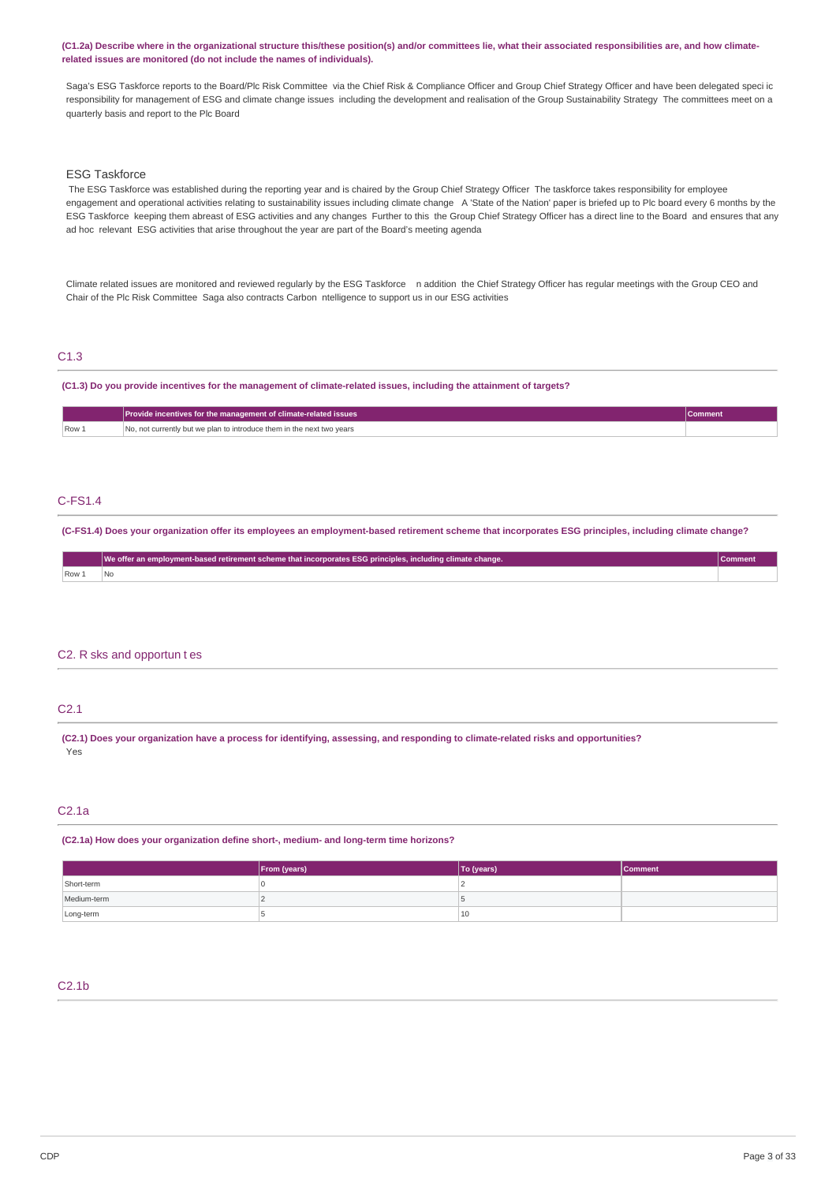**(C1.2a) Describe where in the organizational structure this/these position(s) and/or committees lie, what their associated responsibilities are, and how climaterelated issues are monitored (do not include the names of individuals).**

Saga's ESG Taskforce reports to the Board/Plc Risk Committee via the Chief Risk & Compliance Officer and Group Chief Strategy Officer and have been delegated speci ic responsibility for management of ESG and climate change issues including the development and realisation of the Group Sustainability Strategy The committees meet on a quarterly basis and report to the Plc Board

# ESG Taskforce

 The ESG Taskforce was established during the reporting year and is chaired by the Group Chief Strategy Officer The taskforce takes responsibility for employee engagement and operational activities relating to sustainability issues including climate change A 'State of the Nation' paper is briefed up to Plc board every 6 months by the ESG Taskforce keeping them abreast of ESG activities and any changes Further to this the Group Chief Strategy Officer has a direct line to the Board and ensures that any ad hoc relevant ESG activities that arise throughout the year are part of the Board's meeting agenda

Climate related issues are monitored and reviewed regularly by the ESG Taskforce naddition the Chief Strategy Officer has regular meetings with the Group CEO and Chair of the Plc Risk Committee Saga also contracts Carbon ntelligence to support us in our ESG activities

# C1.3

#### **(C1.3) Do you provide incentives for the management of climate-related issues, including the attainment of targets?**

|                  | Provide incentives for the management of climate-related issues       | Comment |
|------------------|-----------------------------------------------------------------------|---------|
| Row <sub>1</sub> | No, not currently but we plan to introduce them in the next two years |         |

# C-FS1.4

**(C-FS1.4) Does your organization offer its employees an employment-based retirement scheme that incorporates ESG principles, including climate change?**

|     | We offer an employment-based retirement scheme that incorporates ESG principles, including climate change. |  |
|-----|------------------------------------------------------------------------------------------------------------|--|
| Row |                                                                                                            |  |

#### C2. R sks and opportun t es

# C2.1

**(C2.1) Does your organization have a process for identifying, assessing, and responding to climate-related risks and opportunities?** Yes

# C2.1a

**(C2.1a) How does your organization define short-, medium- and long-term time horizons?**

|             | From (years) | To (years) | Comment |
|-------------|--------------|------------|---------|
| Short-term  |              |            |         |
| Medium-term |              |            |         |
| Long-term   |              | 10         |         |

# C2.1b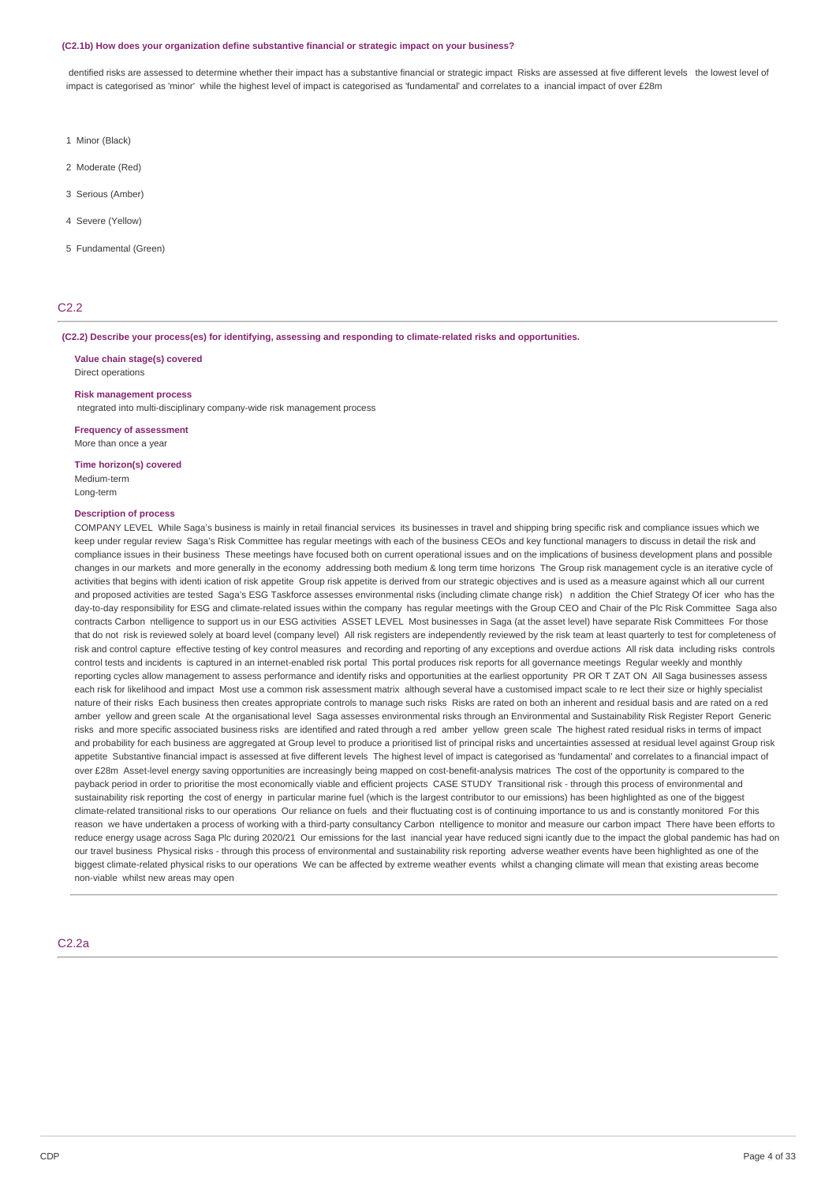#### **(C2.1b) How does your organization define substantive financial or strategic impact on your business?**

dentified risks are assessed to determine whether their impact has a substantive financial or strategic impact Risks are assessed at five different levels the lowest level of impact is categorised as 'minor' while the highest level of impact is categorised as 'fundamental' and correlates to a inancial impact of over £28m

- 1 Minor (Black)
- 2 Moderate (Red)
- 3 Serious (Amber)
- 4 Severe (Yellow)
- 5 Fundamental (Green)

# C2.2

#### **(C2.2) Describe your process(es) for identifying, assessing and responding to climate-related risks and opportunities.**

**Value chain stage(s) covered**

Direct operations

# **Risk management process**

ntegrated into multi-disciplinary company-wide risk management process

# **Frequency of assessment**

More than once a year

#### **Time horizon(s) covered** Medium-term Long-term

## **Description of process**

COMPANY LEVEL While Saga's business is mainly in retail financial services its businesses in travel and shipping bring specific risk and compliance issues which we keep under regular review Saga's Risk Committee has regular meetings with each of the business CEOs and key functional managers to discuss in detail the risk and compliance issues in their business These meetings have focused both on current operational issues and on the implications of business development plans and possible changes in our markets and more generally in the economy addressing both medium & long term time horizons The Group risk management cycle is an iterative cycle of activities that begins with identi ication of risk appetite Group risk appetite is derived from our strategic objectives and is used as a measure against which all our current and proposed activities are tested Saga's ESG Taskforce assesses environmental risks (including climate change risk) n addition the Chief Strategy Of icer who has the day-to-day responsibility for ESG and climate-related issues within the company has regular meetings with the Group CEO and Chair of the Plc Risk Committee Saga also contracts Carbon ntelligence to support us in our ESG activities ASSET LEVEL Most businesses in Saga (at the asset level) have separate Risk Committees For those that do not risk is reviewed solely at board level (company level) All risk registers are independently reviewed by the risk team at least quarterly to test for completeness of risk and control capture effective testing of key control measures and recording and reporting of any exceptions and overdue actions All risk data including risks controls control tests and incidents is captured in an internet-enabled risk portal This portal produces risk reports for all governance meetings Regular weekly and monthly reporting cycles allow management to assess performance and identify risks and opportunities at the earliest opportunity PR OR T ZAT ON All Saga businesses assess each risk for likelihood and impact Most use a common risk assessment matrix although several have a customised impact scale to re lect their size or highly specialist nature of their risks Each business then creates appropriate controls to manage such risks Risks are rated on both an inherent and residual basis and are rated on a red amber yellow and green scale At the organisational level Saga assesses environmental risks through an Environmental and Sustainability Risk Register Report Generic risks and more specific associated business risks are identified and rated through a red amber yellow green scale The highest rated residual risks in terms of impact and probability for each business are aggregated at Group level to produce a prioritised list of principal risks and uncertainties assessed at residual level against Group risk appetite Substantive financial impact is assessed at five different levels The highest level of impact is categorised as 'fundamental' and correlates to a financial impact of over £28m Asset-level energy saving opportunities are increasingly being mapped on cost-benefit-analysis matrices The cost of the opportunity is compared to the payback period in order to prioritise the most economically viable and efficient projects CASE STUDY Transitional risk - through this process of environmental and sustainability risk reporting the cost of energy in particular marine fuel (which is the largest contributor to our emissions) has been highlighted as one of the biggest climate-related transitional risks to our operations Our reliance on fuels and their fluctuating cost is of continuing importance to us and is constantly monitored For this reason we have undertaken a process of working with a third-party consultancy Carbon ntelligence to monitor and measure our carbon impact There have been efforts to reduce energy usage across Saga Plc during 2020/21 Our emissions for the last inancial year have reduced signi icantly due to the impact the global pandemic has had on our travel business Physical risks - through this process of environmental and sustainability risk reporting adverse weather events have been highlighted as one of the biggest climate-related physical risks to our operations We can be affected by extreme weather events whilst a changing climate will mean that existing areas become non-viable whilst new areas may open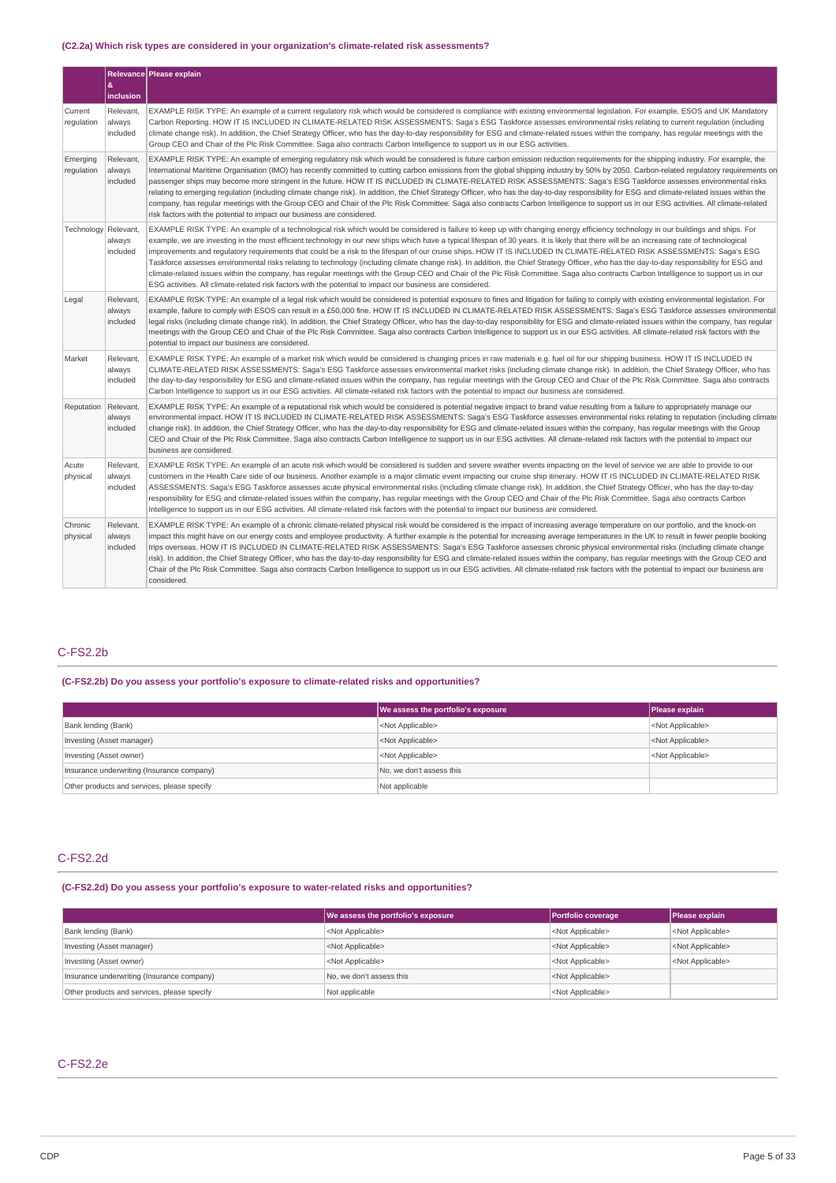# **(C2.2a) Which risk types are considered in your organization's climate-related risk assessments?**

|                        |                                 | Relevance Please explain                                                                                                                                                                                                                                                                                                                                                                                                                                                                                                                                                                                                                                                                                                                                                                                                                                                                                                                                                                                                                                   |
|------------------------|---------------------------------|------------------------------------------------------------------------------------------------------------------------------------------------------------------------------------------------------------------------------------------------------------------------------------------------------------------------------------------------------------------------------------------------------------------------------------------------------------------------------------------------------------------------------------------------------------------------------------------------------------------------------------------------------------------------------------------------------------------------------------------------------------------------------------------------------------------------------------------------------------------------------------------------------------------------------------------------------------------------------------------------------------------------------------------------------------|
|                        | &<br>inclusion                  |                                                                                                                                                                                                                                                                                                                                                                                                                                                                                                                                                                                                                                                                                                                                                                                                                                                                                                                                                                                                                                                            |
| Current<br>regulation  | Relevant.<br>always<br>included | EXAMPLE RISK TYPE: An example of a current regulatory risk which would be considered is compliance with existing environmental legislation. For example, ESOS and UK Mandatory<br>Carbon Reporting. HOW IT IS INCLUDED IN CLIMATE-RELATED RISK ASSESSMENTS: Saga's ESG Taskforce assesses environmental risks relating to current regulation (including<br>climate change risk). In addition, the Chief Strategy Officer, who has the day-to-day responsibility for ESG and climate-related issues within the company, has regular meetings with the<br>Group CEO and Chair of the Plc Risk Committee. Saga also contracts Carbon Intelligence to support us in our ESG activities.                                                                                                                                                                                                                                                                                                                                                                        |
| Emerging<br>regulation | Relevant,<br>always<br>included | EXAMPLE RISK TYPE: An example of emerging regulatory risk which would be considered is future carbon emission reduction requirements for the shipping industry. For example, the<br>International Maritime Organisation (IMO) has recently committed to cutting carbon emissions from the global shipping industry by 50% by 2050. Carbon-related regulatory requirements on<br>passenger ships may become more stringent in the future. HOW IT IS INCLUDED IN CLIMATE-RELATED RISK ASSESSMENTS: Saga's ESG Taskforce assesses environmental risks<br>relating to emerging regulation (including climate change risk). In addition, the Chief Strategy Officer, who has the day-to-day responsibility for ESG and climate-related issues within the<br>company, has regular meetings with the Group CEO and Chair of the Plc Risk Committee. Saga also contracts Carbon Intelligence to support us in our ESG activities. All climate-related<br>risk factors with the potential to impact our business are considered.                                    |
| Technology Relevant,   | always<br>included              | EXAMPLE RISK TYPE: An example of a technological risk which would be considered is failure to keep up with changing energy efficiency technology in our buildings and ships. For<br>example, we are investing in the most efficient technology in our new ships which have a typical lifespan of 30 years. It is likely that there will be an increasing rate of technological<br>improvements and requlatory requirements that could be a risk to the lifespan of our cruise ships. HOW IT IS INCLUDED IN CLIMATE-RELATED RISK ASSESSMENTS: Saqa's ESG<br>Taskforce assesses environmental risks relating to technology (including climate change risk). In addition, the Chief Strategy Officer, who has the day-to-day responsibility for ESG and<br>climate-related issues within the company, has regular meetings with the Group CEO and Chair of the Plc Risk Committee. Saga also contracts Carbon Intelligence to support us in our<br>ESG activities. All climate-related risk factors with the potential to impact our business are considered. |
| Legal                  | Relevant,<br>always<br>included | EXAMPLE RISK TYPE: An example of a legal risk which would be considered is potential exposure to fines and litigation for failing to comply with existing environmental legislation. For<br>example, failure to comply with ESOS can result in a £50,000 fine. HOW IT IS INCLUDED IN CLIMATE-RELATED RISK ASSESSMENTS: Saga's ESG Taskforce assesses environmental<br>legal risks (including climate change risk). In addition, the Chief Strategy Officer, who has the day-to-day responsibility for ESG and climate-related issues within the company, has regular<br>meetings with the Group CEO and Chair of the Plc Risk Committee. Saga also contracts Carbon Intelligence to support us in our ESG activities. All climate-related risk factors with the<br>potential to impact our business are considered.                                                                                                                                                                                                                                        |
| Market                 | Relevant.<br>always<br>included | EXAMPLE RISK TYPE: An example of a market risk which would be considered is changing prices in raw materials e.g. fuel oil for our shipping business. HOW IT IS INCLUDED IN<br>CLIMATE-RELATED RISK ASSESSMENTS: Saga's ESG Taskforce assesses environmental market risks (including climate change risk). In addition, the Chief Strategy Officer, who has<br>the day-to-day responsibility for ESG and climate-related issues within the company, has regular meetings with the Group CEO and Chair of the Plc Risk Committee. Saga also contracts<br>Carbon Intelligence to support us in our ESG activities. All climate-related risk factors with the potential to impact our business are considered.                                                                                                                                                                                                                                                                                                                                                |
| Reputation             | Relevant,<br>always<br>included | EXAMPLE RISK TYPE: An example of a reputational risk which would be considered is potential negative impact to brand value resulting from a failure to appropriately manage our<br>environmental impact. HOW IT IS INCLUDED IN CLIMATE-RELATED RISK ASSESSMENTS: Saga's ESG Taskforce assesses environmental risks relating to reputation (including climate<br>change risk). In addition, the Chief Strategy Officer, who has the day-to-day responsibility for ESG and climate-related issues within the company, has regular meetings with the Group<br>CEO and Chair of the Plc Risk Committee. Saga also contracts Carbon Intelligence to support us in our ESG activities. All climate-related risk factors with the potential to impact our<br>business are considered.                                                                                                                                                                                                                                                                             |
| Acute<br>physical      | Relevant.<br>always<br>included | EXAMPLE RISK TYPE: An example of an acute risk which would be considered is sudden and severe weather events impacting on the level of service we are able to provide to our<br>customers in the Health Care side of our business. Another example is a major climatic event impacting our cruise ship itinerary. HOW IT IS INCLUDED IN CLIMATE-RELATED RISK<br>ASSESSMENTS: Saga's ESG Taskforce assesses acute physical environmental risks (including climate change risk). In addition, the Chief Strategy Officer, who has the day-to-day<br>responsibility for ESG and climate-related issues within the company, has regular meetings with the Group CEO and Chair of the Plc Risk Committee. Saga also contracts Carbon<br>Intelligence to support us in our ESG activities. All climate-related risk factors with the potential to impact our business are considered.                                                                                                                                                                            |
| Chronic<br>physical    | Relevant,<br>always<br>included | EXAMPLE RISK TYPE: An example of a chronic climate-related physical risk would be considered is the impact of increasing average temperature on our portfolio, and the knock-on<br>impact this might have on our energy costs and employee productivity. A further example is the potential for increasing average temperatures in the UK to result in fewer people booking<br>trips overseas. HOW IT IS INCLUDED IN CLIMATE-RELATED RISK ASSESSMENTS: Saga's ESG Taskforce assesses chronic physical environmental risks (including climate change<br>risk). In addition, the Chief Strategy Officer, who has the day-to-day responsibility for ESG and climate-related issues within the company, has regular meetings with the Group CEO and<br>Chair of the Plc Risk Committee. Saga also contracts Carbon Intelligence to support us in our ESG activities. All climate-related risk factors with the potential to impact our business are<br>considered.                                                                                             |

# C-FS2.2b

### **(C-FS2.2b) Do you assess your portfolio's exposure to climate-related risks and opportunities?**

|                                             | We assess the portfolio's exposure | Please explain            |
|---------------------------------------------|------------------------------------|---------------------------|
| Bank lending (Bank)                         | <not applicable=""></not>          | <not applicable=""></not> |
| Investing (Asset manager)                   | <not applicable=""></not>          | <not applicable=""></not> |
| Investing (Asset owner)                     | <not applicable=""></not>          | <not applicable=""></not> |
| Insurance underwriting (Insurance company)  | No, we don't assess this           |                           |
| Other products and services, please specify | Not applicable                     |                           |

# C-FS2.2d

### **(C-FS2.2d) Do you assess your portfolio's exposure to water-related risks and opportunities?**

|                                             | We assess the portfolio's exposure | Portfolio coverage        | Please explain            |
|---------------------------------------------|------------------------------------|---------------------------|---------------------------|
| Bank lending (Bank)                         | <not applicable=""></not>          | <not applicable=""></not> | <not applicable=""></not> |
| Investing (Asset manager)                   | <not applicable=""></not>          | <not applicable=""></not> | <not applicable=""></not> |
| Investing (Asset owner)                     | <not applicable=""></not>          | <not applicable=""></not> | <not applicable=""></not> |
| Insurance underwriting (Insurance company)  | No, we don't assess this           | <not applicable=""></not> |                           |
| Other products and services, please specify | Not applicable                     | <not applicable=""></not> |                           |

# C-FS2.2e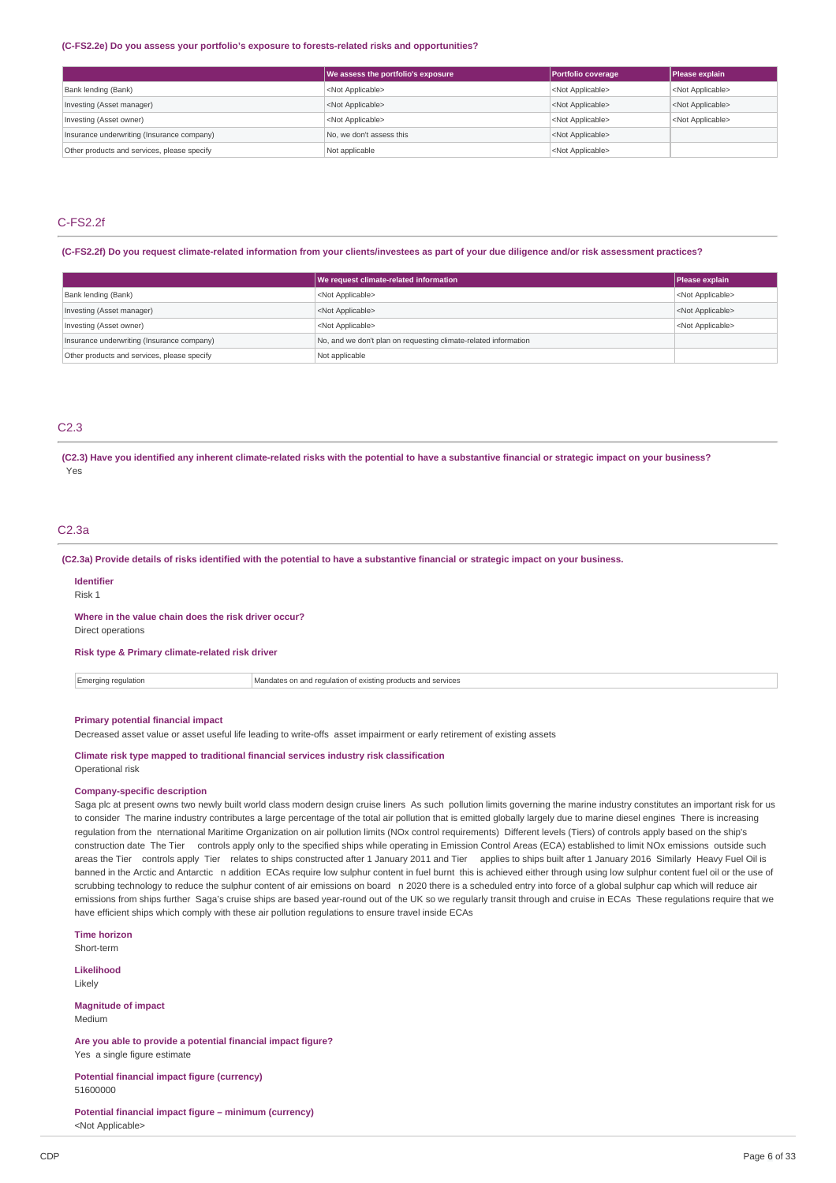#### **(C-FS2.2e) Do you assess your portfolio's exposure to forests-related risks and opportunities?**

|                                             | We assess the portfolio's exposure | Portfolio coverage        | Please explain            |
|---------------------------------------------|------------------------------------|---------------------------|---------------------------|
| Bank lending (Bank)                         | <not applicable=""></not>          | <not applicable=""></not> | <not applicable=""></not> |
| Investing (Asset manager)                   | <not applicable=""></not>          | <not applicable=""></not> | <not applicable=""></not> |
| Investing (Asset owner)                     | <not applicable=""></not>          | <not applicable=""></not> | <not applicable=""></not> |
| Insurance underwriting (Insurance company)  | No. we don't assess this           | <not applicable=""></not> |                           |
| Other products and services, please specify | Not applicable                     | <not applicable=""></not> |                           |

# C-FS2.2f

**(C-FS2.2f) Do you request climate-related information from your clients/investees as part of your due diligence and/or risk assessment practices?**

|                                             | We request climate-related information                          | Please explain            |
|---------------------------------------------|-----------------------------------------------------------------|---------------------------|
| Bank lending (Bank)                         | <not applicable=""></not>                                       | <not applicable=""></not> |
| Investing (Asset manager)                   | <not applicable=""></not>                                       | <not applicable=""></not> |
| Investing (Asset owner)                     | <not applicable=""></not>                                       | <not applicable=""></not> |
| Insurance underwriting (Insurance company)  | No, and we don't plan on requesting climate-related information |                           |
| Other products and services, please specify | Not applicable                                                  |                           |

# C2.3

**(C2.3) Have you identified any inherent climate-related risks with the potential to have a substantive financial or strategic impact on your business?** Yes

# C2.3a

**(C2.3a) Provide details of risks identified with the potential to have a substantive financial or strategic impact on your business.**

#### **Identifier**

Risk 1

#### **Where in the value chain does the risk driver occur?**

Direct operations

# **Risk type & Primary climate-related risk driver**

 $\boxed{\color{red}\blacksquare}$  Emerging regulation  $\boxed{\color{red}\blacksquare}$  Mandates on and regulation of existing products and services

### **Primary potential financial impact**

Decreased asset value or asset useful life leading to write-offs asset impairment or early retirement of existing assets

#### **Climate risk type mapped to traditional financial services industry risk classification** Operational risk

#### **Company-specific description**

Saga plc at present owns two newly built world class modern design cruise liners As such pollution limits governing the marine industry constitutes an important risk for us to consider The marine industry contributes a large percentage of the total air pollution that is emitted globally largely due to marine diesel engines There is increasing regulation from the nternational Maritime Organization on air pollution limits (NOx control requirements) Different levels (Tiers) of controls apply based on the ship's construction date The Tier controls apply only to the specified ships while operating in Emission Control Areas (ECA) established to limit NOx emissions outside such areas the Tier controls apply Tier relates to ships constructed after 1 January 2011 and Tier applies to ships built after 1 January 2016 Similarly Heavy Fuel Oil is banned in the Arctic and Antarctic n addition ECAs require low sulphur content in fuel burnt this is achieved either through using low sulphur content fuel oil or the use of scrubbing technology to reduce the sulphur content of air emissions on board n 2020 there is a scheduled entry into force of a global sulphur cap which will reduce air emissions from ships further Saga's cruise ships are based year-round out of the UK so we regularly transit through and cruise in ECAs These regulations require that we have efficient ships which comply with these air pollution regulations to ensure travel inside ECAs

**Time horizon**

Short-term

**Likelihood** Likely

**Magnitude of impact** Medium

**Are you able to provide a potential financial impact figure?** Yes a single figure estimate

**Potential financial impact figure (currency)** 51600000

**Potential financial impact figure – minimum (currency)** <Not Applicable>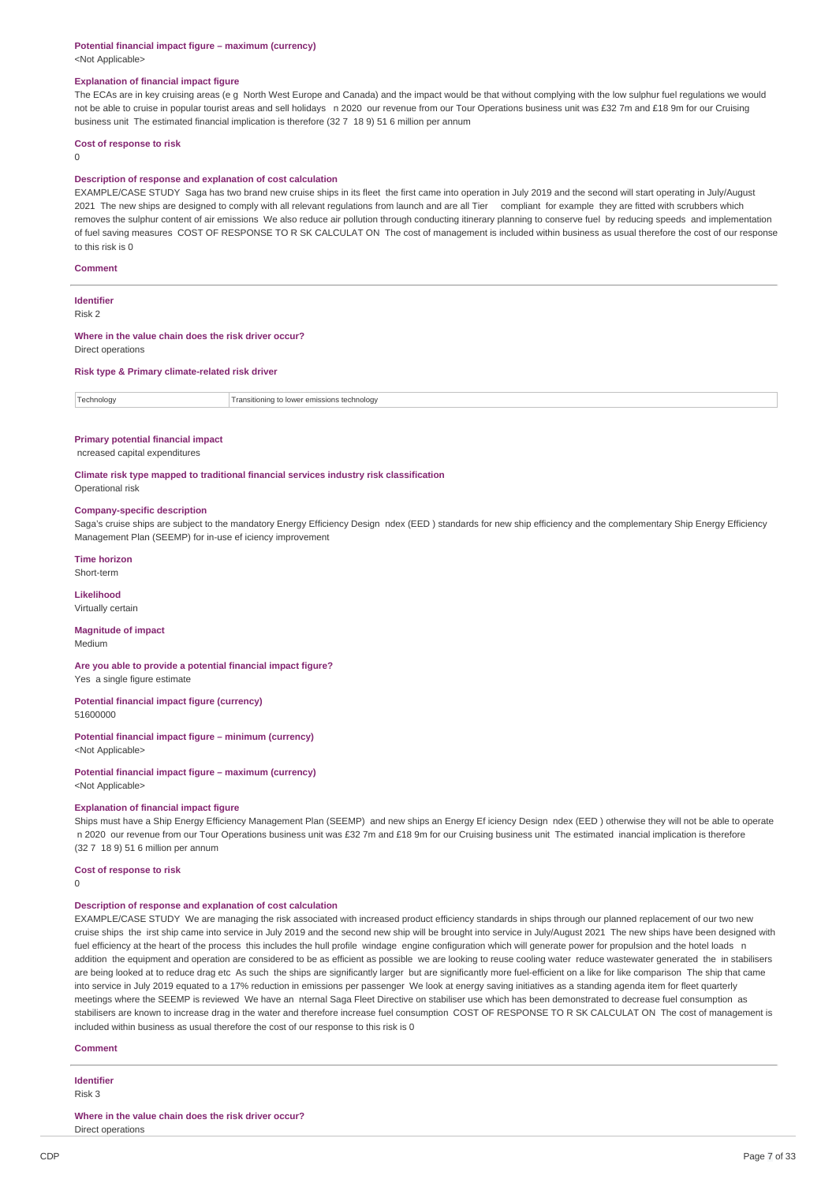#### **Potential financial impact figure – maximum (currency)** <Not Applicable>

### **Explanation of financial impact figure**

The ECAs are in key cruising areas (e g North West Europe and Canada) and the impact would be that without complying with the low sulphur fuel regulations we would not be able to cruise in popular tourist areas and sell holidays n 2020 our revenue from our Tour Operations business unit was £32 7m and £18 9m for our Cruising business unit The estimated financial implication is therefore (32 7 18 9) 51 6 million per annum

#### **Cost of response to risk**

 $\Omega$ 

#### **Description of response and explanation of cost calculation**

EXAMPLE/CASE STUDY Saga has two brand new cruise ships in its fleet the first came into operation in July 2019 and the second will start operating in July/August 2021 The new ships are designed to comply with all relevant regulations from launch and are all Tier compliant for example they are fitted with scrubbers which removes the sulphur content of air emissions We also reduce air pollution through conducting itinerary planning to conserve fuel by reducing speeds and implementation of fuel saving measures COST OF RESPONSE TO R SK CALCULAT ON The cost of management is included within business as usual therefore the cost of our response to this risk is  $0$ 

#### **Comment**

#### **Identifier** Risk 2

# **Where in the value chain does the risk driver occur?**

Direct operations

#### **Risk type & Primary climate-related risk driver**

Technology Transitioning to lower emissions technology

#### **Primary potential financial impact**

ncreased capital expenditures

**Climate risk type mapped to traditional financial services industry risk classification** Operational risk

# **Company-specific description**

Saga's cruise ships are subject to the mandatory Energy Efficiency Design ndex (EED ) standards for new ship efficiency and the complementary Ship Energy Efficiency Management Plan (SEEMP) for in-use ef iciency improvement

**Time horizon**

Short-term

#### **Likelihood** Virtually certain

#### **Magnitude of impact** Medium

**Are you able to provide a potential financial impact figure?** Yes a single figure estimate

#### **Potential financial impact figure (currency)**

51600000

#### **Potential financial impact figure – minimum (currency)**

<Not Applicable>

**Potential financial impact figure – maximum (currency)** <Not Applicable>

#### **Explanation of financial impact figure**

Ships must have a Ship Energy Efficiency Management Plan (SEEMP) and new ships an Energy Ef iciency Design ndex (EED ) otherwise they will not be able to operate n 2020 our revenue from our Tour Operations business unit was £32 7m and £18 9m for our Cruising business unit The estimated inancial implication is therefore (32 7 18 9) 51 6 million per annum

#### **Cost of response to risk**

0

#### **Description of response and explanation of cost calculation**

EXAMPLE/CASE STUDY We are managing the risk associated with increased product efficiency standards in ships through our planned replacement of our two new cruise ships the irst ship came into service in July 2019 and the second new ship will be brought into service in July/August 2021 The new ships have been designed with fuel efficiency at the heart of the process this includes the hull profile windage engine configuration which will generate power for propulsion and the hotel loads n addition the equipment and operation are considered to be as efficient as possible we are looking to reuse cooling water reduce wastewater generated the in stabilisers are being looked at to reduce drag etc As such the ships are significantly larger but are significantly more fuel-efficient on a like for like comparison The ship that came into service in July 2019 equated to a 17% reduction in emissions per passenger We look at energy saving initiatives as a standing agenda item for fleet quarterly meetings where the SEEMP is reviewed We have an nternal Saga Fleet Directive on stabiliser use which has been demonstrated to decrease fuel consumption as stabilisers are known to increase drag in the water and therefore increase fuel consumption COST OF RESPONSE TO R SK CALCULAT ON The cost of management is included within business as usual therefore the cost of our response to this risk is 0

#### **Comment**

**Identifier** Risk 3

**Where in the value chain does the risk driver occur?** Direct operations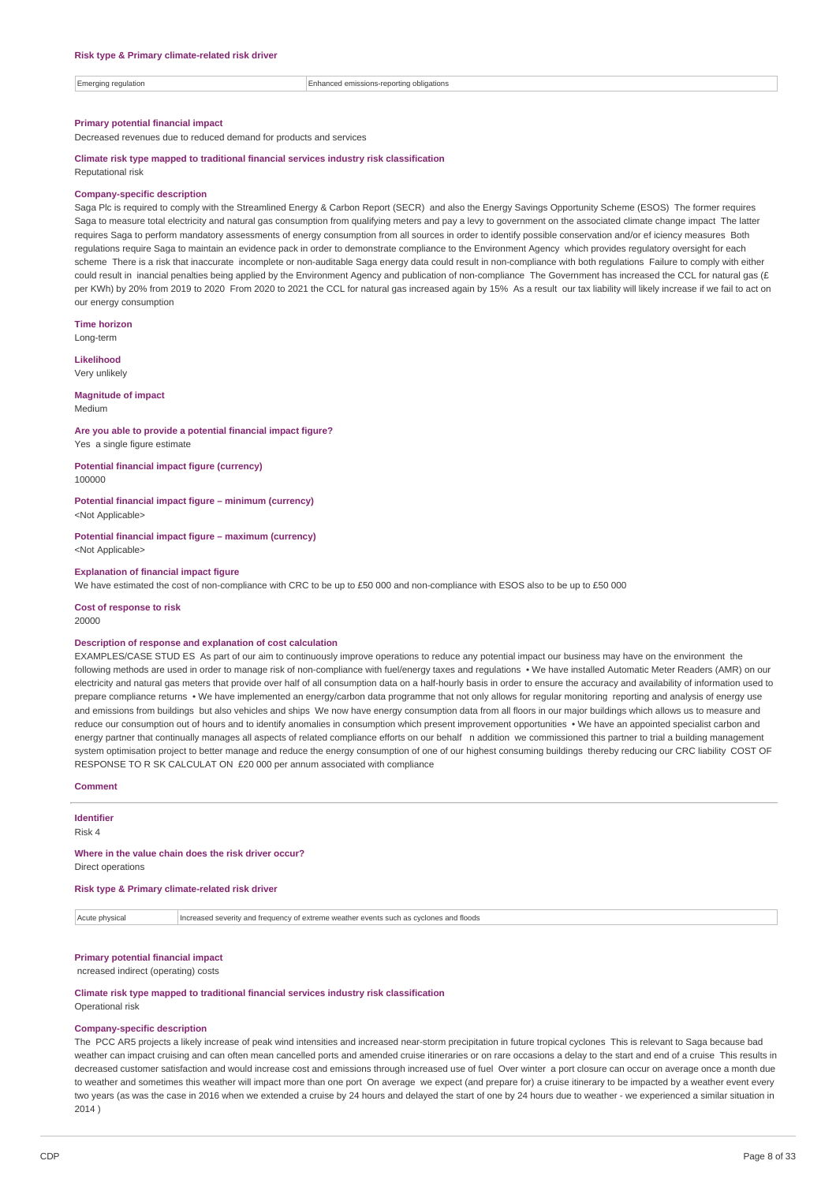Emerging regulation Enhanced emissions-reporting obligations

#### **Primary potential financial impact**

Decreased revenues due to reduced demand for products and services

### **Climate risk type mapped to traditional financial services industry risk classification** Reputational risk

### **Company-specific description**

Saga Plc is required to comply with the Streamlined Energy & Carbon Report (SECR) and also the Energy Savings Opportunity Scheme (ESOS) The former requires Saga to measure total electricity and natural gas consumption from qualifying meters and pay a levy to government on the associated climate change impact The latter requires Saga to perform mandatory assessments of energy consumption from all sources in order to identify possible conservation and/or ef iciency measures Both regulations require Saga to maintain an evidence pack in order to demonstrate compliance to the Environment Agency which provides regulatory oversight for each scheme There is a risk that inaccurate incomplete or non-auditable Saga energy data could result in non-compliance with both regulations Failure to comply with either could result in inancial penalties being applied by the Environment Agency and publication of non-compliance The Government has increased the CCL for natural gas (£ per KWh) by 20% from 2019 to 2020 From 2020 to 2021 the CCL for natural gas increased again by 15% As a result our tax liability will likely increase if we fail to act on our energy consumption

**Time horizon** Long-term

**Likelihood**

Very unlikely

#### **Magnitude of impact** Medium

**Are you able to provide a potential financial impact figure?** Yes a single figure estimate

**Potential financial impact figure (currency)** 100000

**Potential financial impact figure – minimum (currency)** <Not Applicable>

**Potential financial impact figure – maximum (currency)** <Not Applicable>

#### **Explanation of financial impact figure**

We have estimated the cost of non-compliance with CRC to be up to £50 000 and non-compliance with ESOS also to be up to £50 000

**Cost of response to risk** 20000

#### **Description of response and explanation of cost calculation**

EXAMPLES/CASE STUD ES As part of our aim to continuously improve operations to reduce any potential impact our business may have on the environment the following methods are used in order to manage risk of non-compliance with fuel/energy taxes and regulations • We have installed Automatic Meter Readers (AMR) on our electricity and natural gas meters that provide over half of all consumption data on a half-hourly basis in order to ensure the accuracy and availability of information used to prepare compliance returns • We have implemented an energy/carbon data programme that not only allows for regular monitoring reporting and analysis of energy use and emissions from buildings but also vehicles and ships We now have energy consumption data from all floors in our major buildings which allows us to measure and reduce our consumption out of hours and to identify anomalies in consumption which present improvement opportunities • We have an appointed specialist carbon and energy partner that continually manages all aspects of related compliance efforts on our behalf n addition we commissioned this partner to trial a building management system optimisation project to better manage and reduce the energy consumption of one of our highest consuming buildings thereby reducing our CRC liability COST OF RESPONSE TO R SK CALCULAT ON £20 000 per annum associated with compliance

#### **Comment**

**Identifier** Risk 4

#### **Where in the value chain does the risk driver occur?**

Direct operations

**Risk type & Primary climate-related risk driver**

Acute physical **Increased severity and frequency of extreme weather events such as cyclones and floods** 

# **Primary potential financial impact**

ncreased indirect (operating) costs

**Climate risk type mapped to traditional financial services industry risk classification** Operational risk

#### **Company-specific description**

The PCC AR5 projects a likely increase of peak wind intensities and increased near-storm precipitation in future tropical cyclones This is relevant to Saga because bad weather can impact cruising and can often mean cancelled ports and amended cruise itineraries or on rare occasions a delay to the start and end of a cruise This results in decreased customer satisfaction and would increase cost and emissions through increased use of fuel Over winter a port closure can occur on average once a month due to weather and sometimes this weather will impact more than one port On average we expect (and prepare for) a cruise itinerary to be impacted by a weather event every two years (as was the case in 2016 when we extended a cruise by 24 hours and delayed the start of one by 24 hours due to weather - we experienced a similar situation in 2014 )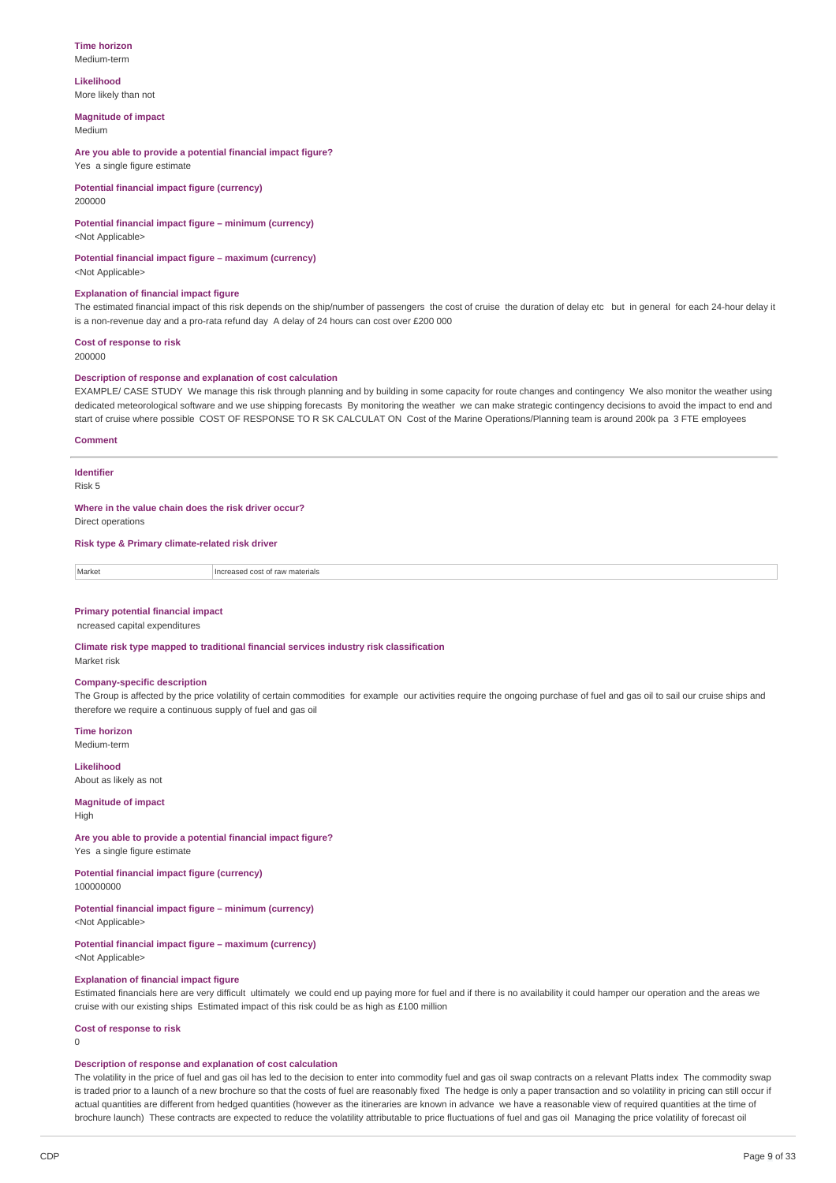#### **Time horizon** Medium-term

**Likelihood** More likely than not

**Magnitude of impact**

Medium

**Are you able to provide a potential financial impact figure?** Yes a single figure estimate

**Potential financial impact figure (currency)** 200000

# **Potential financial impact figure – minimum (currency)**

<Not Applicable>

**Potential financial impact figure – maximum (currency)** <Not Applicable>

#### **Explanation of financial impact figure**

The estimated financial impact of this risk depends on the ship/number of passengers the cost of cruise the duration of delay etc but in general for each 24-hour delay it is a non-revenue day and a pro-rata refund day A delay of 24 hours can cost over £200 000

**Cost of response to risk** 200000

### **Description of response and explanation of cost calculation**

EXAMPLE/ CASE STUDY We manage this risk through planning and by building in some capacity for route changes and contingency We also monitor the weather using dedicated meteorological software and we use shipping forecasts By monitoring the weather we can make strategic contingency decisions to avoid the impact to end and start of cruise where possible COST OF RESPONSE TO R SK CALCULAT ON Cost of the Marine Operations/Planning team is around 200k pa 3 FTE employees

#### **Comment**

**Identifier**

Risk 5

**Where in the value chain does the risk driver occur?**

Direct operations

**Risk type & Primary climate-related risk driver**

Market **Increased cost of raw materials** 

#### **Primary potential financial impact**

ncreased capital expenditures

**Climate risk type mapped to traditional financial services industry risk classification** Market risk

#### **Company-specific description**

The Group is affected by the price volatility of certain commodities for example our activities require the ongoing purchase of fuel and gas oil to sail our cruise ships and therefore we require a continuous supply of fuel and gas oil

**Time horizon** Medium-term

**Likelihood**

About as likely as not

### **Magnitude of impact**

High

**Are you able to provide a potential financial impact figure?**

Yes a single figure estimate

**Potential financial impact figure (currency)** 100000000

# **Potential financial impact figure – minimum (currency)**

<Not Applicable>

**Potential financial impact figure – maximum (currency)** <Not Applicable>

### **Explanation of financial impact figure**

Estimated financials here are very difficult ultimately we could end up paying more for fuel and if there is no availability it could hamper our operation and the areas we cruise with our existing ships Estimated impact of this risk could be as high as £100 million

**Cost of response to risk**

 $\Omega$ 

# **Description of response and explanation of cost calculation**

The volatility in the price of fuel and gas oil has led to the decision to enter into commodity fuel and gas oil swap contracts on a relevant Platts index The commodity swap is traded prior to a launch of a new brochure so that the costs of fuel are reasonably fixed The hedge is only a paper transaction and so volatility in pricing can still occur if actual quantities are different from hedged quantities (however as the itineraries are known in advance we have a reasonable view of required quantities at the time of brochure launch) These contracts are expected to reduce the volatility attributable to price fluctuations of fuel and gas oil Managing the price volatility of forecast oil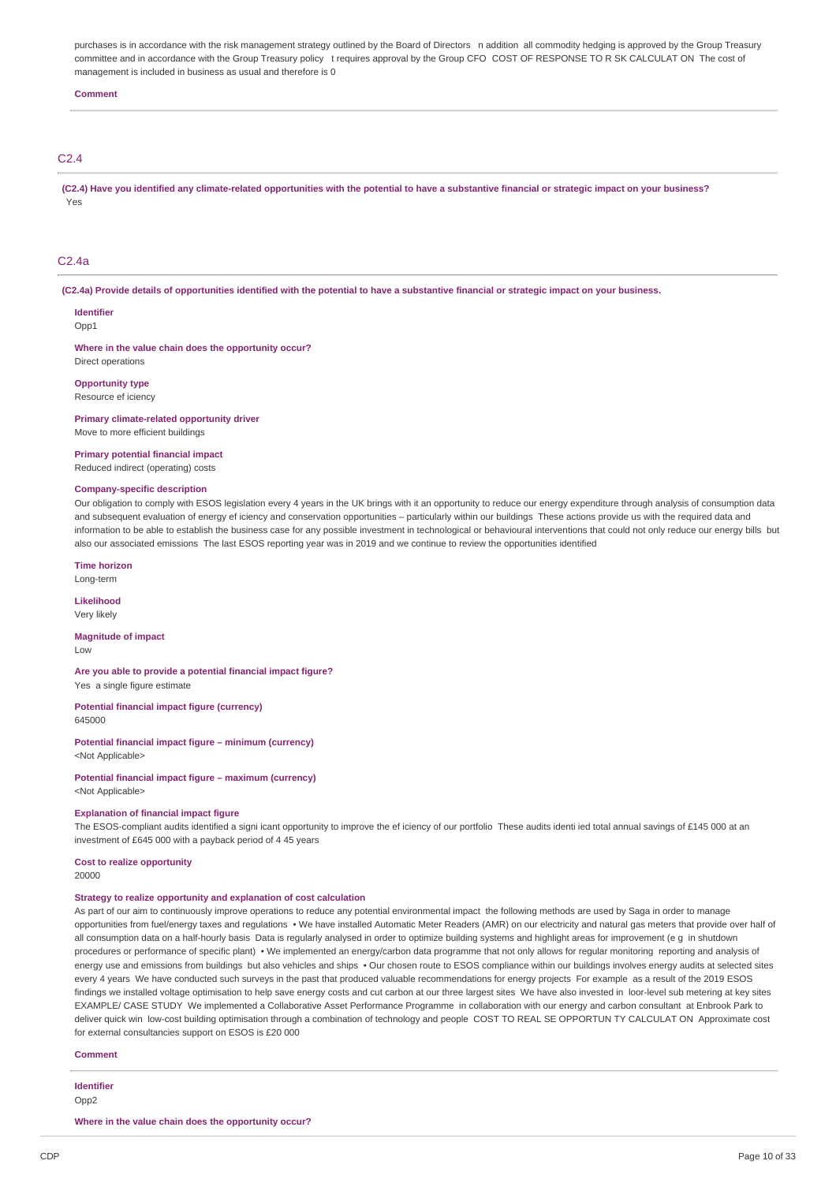purchases is in accordance with the risk management strategy outlined by the Board of Directors n addition all commodity hedging is approved by the Group Treasury committee and in accordance with the Group Treasury policy t requires approval by the Group CFO COST OF RESPONSE TO R SK CALCULAT ON The cost of management is included in business as usual and therefore is 0

#### **Comment**

# C2.4

**(C2.4) Have you identified any climate-related opportunities with the potential to have a substantive financial or strategic impact on your business?** Yes

# C2.4a

**(C2.4a) Provide details of opportunities identified with the potential to have a substantive financial or strategic impact on your business.**

**Identifier**

Opp1

**Where in the value chain does the opportunity occur?** Direct operations

#### **Opportunity type**

Resource ef iciency

**Primary climate-related opportunity driver**

Move to more efficient buildings

**Primary potential financial impact** Reduced indirect (operating) costs

### **Company-specific description**

Our obligation to comply with ESOS legislation every 4 years in the UK brings with it an opportunity to reduce our energy expenditure through analysis of consumption data and subsequent evaluation of energy ef iciency and conservation opportunities – particularly within our buildings These actions provide us with the required data and information to be able to establish the business case for any possible investment in technological or behavioural interventions that could not only reduce our energy bills but also our associated emissions The last ESOS reporting year was in 2019 and we continue to review the opportunities identified

**Time horizon**

Long-term

**Likelihood** Very likely

**Magnitude of impact** Low

**Are you able to provide a potential financial impact figure?** Yes a single figure estimate

**Potential financial impact figure (currency)** 645000

**Potential financial impact figure – minimum (currency)** <Not Applicable>

**Potential financial impact figure – maximum (currency)** <Not Applicable>

#### **Explanation of financial impact figure**

The ESOS-compliant audits identified a signi icant opportunity to improve the ef iciency of our portfolio These audits identi ied total annual savings of £145 000 at an investment of £645 000 with a payback period of 4 45 years

# **Cost to realize opportunity**

20000

# **Strategy to realize opportunity and explanation of cost calculation**

As part of our aim to continuously improve operations to reduce any potential environmental impact the following methods are used by Saga in order to manage opportunities from fuel/energy taxes and regulations • We have installed Automatic Meter Readers (AMR) on our electricity and natural gas meters that provide over half of all consumption data on a half-hourly basis Data is regularly analysed in order to optimize building systems and highlight areas for improvement (e g in shutdown procedures or performance of specific plant) • We implemented an energy/carbon data programme that not only allows for regular monitoring reporting and analysis of energy use and emissions from buildings but also vehicles and ships . Our chosen route to ESOS compliance within our buildings involves energy audits at selected sites every 4 years We have conducted such surveys in the past that produced valuable recommendations for energy projects For example as a result of the 2019 ESOS findings we installed voltage optimisation to help save energy costs and cut carbon at our three largest sites We have also invested in loor-level sub metering at key sites EXAMPLE/ CASE STUDY We implemented a Collaborative Asset Performance Programme in collaboration with our energy and carbon consultant at Enbrook Park to deliver quick win low-cost building optimisation through a combination of technology and people COST TO REAL SE OPPORTUN TY CALCULAT ON Approximate cost for external consultancies support on ESOS is £20 000

**Comment**

**Identifier** Opp2

**Where in the value chain does the opportunity occur?**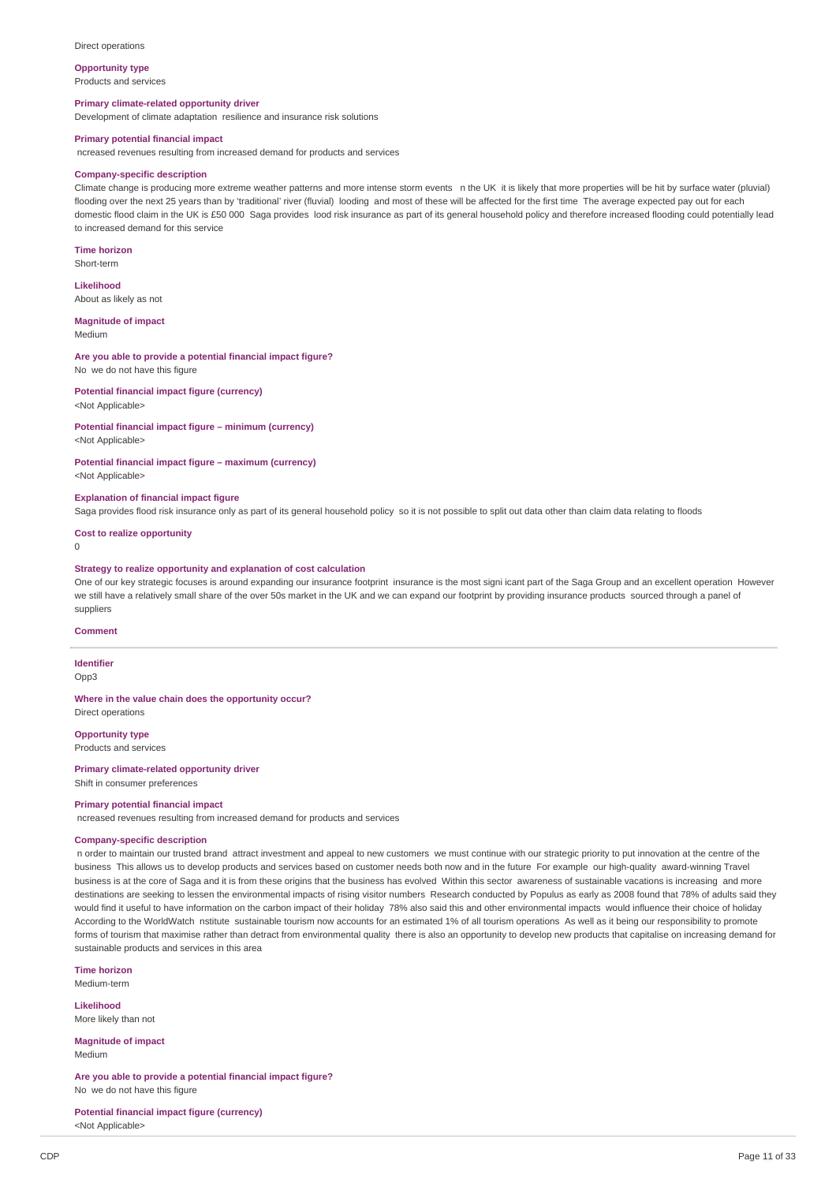#### Direct operations

**Opportunity type**

Products and services

# **Primary climate-related opportunity driver**

Development of climate adaptation resilience and insurance risk solutions

# **Primary potential financial impact**

ncreased revenues resulting from increased demand for products and services

#### **Company-specific description**

Climate change is producing more extreme weather patterns and more intense storm events n the UK it is likely that more properties will be hit by surface water (pluvial) flooding over the next 25 years than by 'traditional' river (fluvial) looding and most of these will be affected for the first time The average expected pay out for each domestic flood claim in the UK is £50 000 Saga provides lood risk insurance as part of its general household policy and therefore increased flooding could potentially lead to increased demand for this service

**Time horizon** Short-term

**Likelihood** About as likely as not

**Magnitude of impact**

Medium

**Are you able to provide a potential financial impact figure?**

No we do not have this figure

**Potential financial impact figure (currency)** <Not Applicable>

# **Potential financial impact figure – minimum (currency)**

<Not Applicable>

### **Potential financial impact figure – maximum (currency)**

<Not Applicable>

### **Explanation of financial impact figure**

Saga provides flood risk insurance only as part of its general household policy so it is not possible to split out data other than claim data relating to floods

### **Cost to realize opportunity**

 $\theta$ 

#### **Strategy to realize opportunity and explanation of cost calculation**

One of our key strategic focuses is around expanding our insurance footprint insurance is the most signi icant part of the Saga Group and an excellent operation However we still have a relatively small share of the over 50s market in the UK and we can expand our footprint by providing insurance products sourced through a panel of suppliers

#### **Comment**

**Identifier**

Opp3

**Where in the value chain does the opportunity occur?** Direct operations

**Opportunity type**

Products and services

#### **Primary climate-related opportunity driver** Shift in consumer preferences

#### **Primary potential financial impact**

ncreased revenues resulting from increased demand for products and services

### **Company-specific description**

n order to maintain our trusted brand attract investment and appeal to new customers we must continue with our strategic priority to put innovation at the centre of the business This allows us to develop products and services based on customer needs both now and in the future For example our high-quality award-winning Travel business is at the core of Saga and it is from these origins that the business has evolved Within this sector awareness of sustainable vacations is increasing and more destinations are seeking to lessen the environmental impacts of rising visitor numbers Research conducted by Populus as early as 2008 found that 78% of adults said they would find it useful to have information on the carbon impact of their holiday 78% also said this and other environmental impacts would influence their choice of holiday According to the WorldWatch nstitute sustainable tourism now accounts for an estimated 1% of all tourism operations As well as it being our responsibility to promote forms of tourism that maximise rather than detract from environmental quality there is also an opportunity to develop new products that capitalise on increasing demand for sustainable products and services in this area

**Time horizon** Medium-term

**Likelihood** More likely than not

**Magnitude of impact** Medium

**Are you able to provide a potential financial impact figure?** No we do not have this figure

**Potential financial impact figure (currency)** <Not Applicable>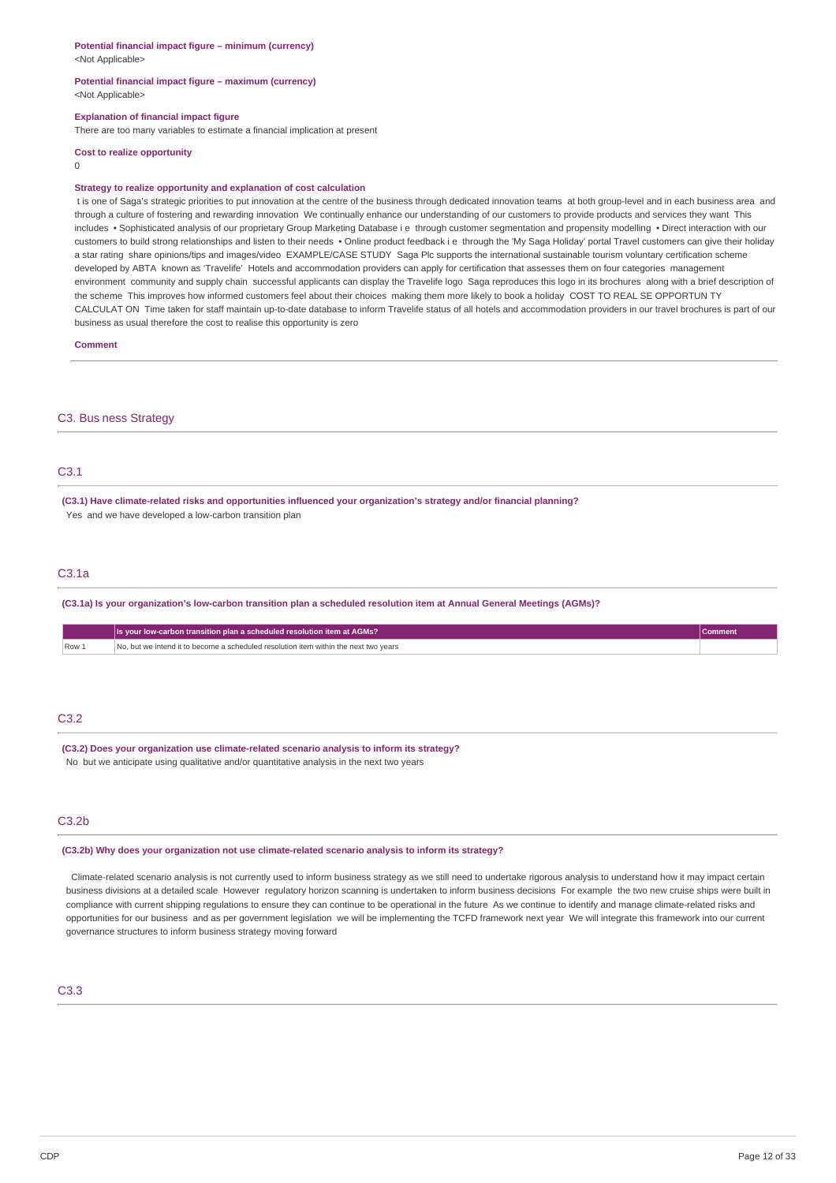#### **Potential financial impact figure – minimum (currency)** <Not Applicable>

**Potential financial impact figure – maximum (currency)** <Not Applicable>

#### **Explanation of financial impact figure**

There are too many variables to estimate a financial implication at present

#### **Cost to realize opportunity**

 $\Omega$ 

#### **Strategy to realize opportunity and explanation of cost calculation**

t is one of Saga's strategic priorities to put innovation at the centre of the business through dedicated innovation teams at both group-level and in each business area and through a culture of fostering and rewarding innovation We continually enhance our understanding of our customers to provide products and services they want This includes • Sophisticated analysis of our proprietary Group Marketing Database i e through customer segmentation and propensity modelling • Direct interaction with our customers to build strong relationships and listen to their needs • Online product feedback i e through the 'My Saga Holiday' portal Travel customers can give their holiday a star rating share opinions/tips and images/video EXAMPLE/CASE STUDY Saga Plc supports the international sustainable tourism voluntary certification scheme developed by ABTA known as 'Travelife' Hotels and accommodation providers can apply for certification that assesses them on four categories management environment community and supply chain successful applicants can display the Travelife logo Saga reproduces this logo in its brochures along with a brief description of the scheme This improves how informed customers feel about their choices making them more likely to book a holiday COST TO REAL SE OPPORTUN TY CALCULAT ON Time taken for staff maintain up-to-date database to inform Travelife status of all hotels and accommodation providers in our travel brochures is part of our business as usual therefore the cost to realise this opportunity is zero

**Comment**

#### C3. Bus ness Strategy

# C3.1

**(C3.1) Have climate-related risks and opportunities influenced your organization's strategy and/or financial planning?** Yes and we have developed a low-carbon transition plan

### C3.1a

**(C3.1a) Is your organization's low-carbon transition plan a scheduled resolution item at Annual General Meetings (AGMs)?**

|       | Its your low-carbon transition plan a scheduled resolution item at AGMs?             |  |
|-------|--------------------------------------------------------------------------------------|--|
| Row 1 | No, but we intend it to become a scheduled resolution item within the next two vears |  |

### C3.2

**(C3.2) Does your organization use climate-related scenario analysis to inform its strategy?** No but we anticipate using qualitative and/or quantitative analysis in the next two years

### C3.2b

**(C3.2b) Why does your organization not use climate-related scenario analysis to inform its strategy?**

 Climate-related scenario analysis is not currently used to inform business strategy as we still need to undertake rigorous analysis to understand how it may impact certain business divisions at a detailed scale However regulatory horizon scanning is undertaken to inform business decisions For example the two new cruise ships were built in compliance with current shipping regulations to ensure they can continue to be operational in the future As we continue to identify and manage climate-related risks and opportunities for our business and as per government legislation we will be implementing the TCFD framework next year We will integrate this framework into our current governance structures to inform business strategy moving forward

# C3.3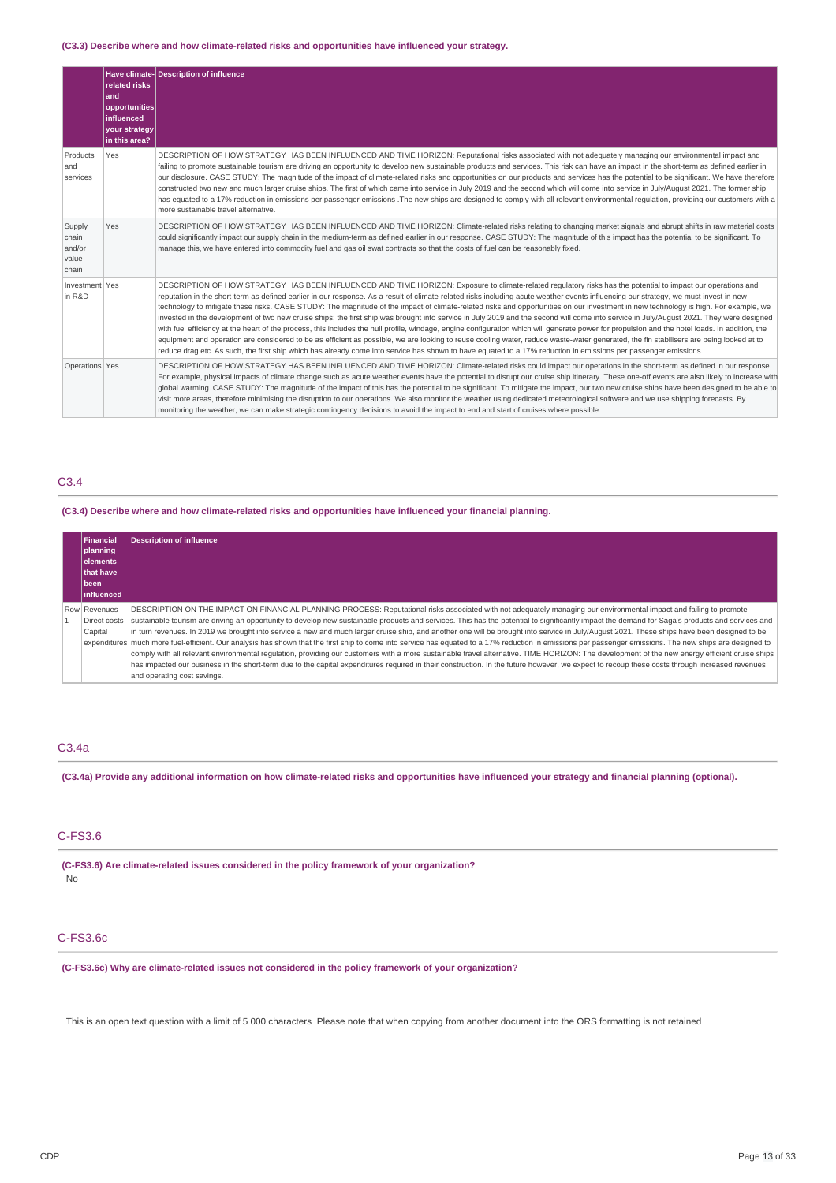### **(C3.3) Describe where and how climate-related risks and opportunities have influenced your strategy.**

|                                             | related risks<br>and<br>opportunities<br>influenced<br>your strategy<br>in this area? | Have climate- Description of influence                                                                                                                                                                                                                                                                                                                                                                                                                                                                                                                                                                                                                                                                                                                                                                                                                                                                                                                                                                                                                                                                                                                                                                                                                                                                 |
|---------------------------------------------|---------------------------------------------------------------------------------------|--------------------------------------------------------------------------------------------------------------------------------------------------------------------------------------------------------------------------------------------------------------------------------------------------------------------------------------------------------------------------------------------------------------------------------------------------------------------------------------------------------------------------------------------------------------------------------------------------------------------------------------------------------------------------------------------------------------------------------------------------------------------------------------------------------------------------------------------------------------------------------------------------------------------------------------------------------------------------------------------------------------------------------------------------------------------------------------------------------------------------------------------------------------------------------------------------------------------------------------------------------------------------------------------------------|
| Products<br>and<br>services                 | Yes                                                                                   | DESCRIPTION OF HOW STRATEGY HAS BEEN INFLUENCED AND TIME HORIZON: Reputational risks associated with not adequately managing our environmental impact and<br>failing to promote sustainable tourism are driving an opportunity to develop new sustainable products and services. This risk can have an impact in the short-term as defined earlier in<br>our disclosure. CASE STUDY: The magnitude of the impact of climate-related risks and opportunities on our products and services has the potential to be significant. We have therefore<br>constructed two new and much larger cruise ships. The first of which came into service in July 2019 and the second which will come into service in July/August 2021. The former ship<br>has equated to a 17% reduction in emissions per passenger emissions . The new ships are designed to comply with all relevant environmental requlation, providing our customers with a<br>more sustainable travel alternative.                                                                                                                                                                                                                                                                                                                               |
| Supply<br>chain<br>and/or<br>value<br>chain | Yes                                                                                   | DESCRIPTION OF HOW STRATEGY HAS BEEN INFLUENCED AND TIME HORIZON: Climate-related risks relating to changing market signals and abrupt shifts in raw material costs<br>could significantly impact our supply chain in the medium-term as defined earlier in our response. CASE STUDY: The magnitude of this impact has the potential to be significant. To<br>manage this, we have entered into commodity fuel and gas oil swat contracts so that the costs of fuel can be reasonably fixed.                                                                                                                                                                                                                                                                                                                                                                                                                                                                                                                                                                                                                                                                                                                                                                                                           |
| Investment Yes<br>in R&D                    |                                                                                       | DESCRIPTION OF HOW STRATEGY HAS BEEN INFLUENCED AND TIME HORIZON: Exposure to climate-related requlatory risks has the potential to impact our operations and<br>reputation in the short-term as defined earlier in our response. As a result of climate-related risks including acute weather events influencing our strategy, we must invest in new<br>technology to mitigate these risks. CASE STUDY: The magnitude of the impact of climate-related risks and opportunities on our investment in new technology is high. For example, we<br>invested in the development of two new cruise ships; the first ship was brought into service in July 2019 and the second will come into service in July/August 2021. They were designed<br>with fuel efficiency at the heart of the process, this includes the hull profile, windage, engine configuration which will generate power for propulsion and the hotel loads. In addition, the<br>equipment and operation are considered to be as efficient as possible, we are looking to reuse cooling water, reduce waste-water generated, the fin stabilisers are being looked at to<br>reduce drag etc. As such, the first ship which has already come into service has shown to have equated to a 17% reduction in emissions per passenger emissions. |
| Operations Yes                              |                                                                                       | DESCRIPTION OF HOW STRATEGY HAS BEEN INFLUENCED AND TIME HORIZON: Climate-related risks could impact our operations in the short-term as defined in our response.<br>For example, physical impacts of climate change such as acute weather events have the potential to disrupt our cruise ship itinerary. These one-off events are also likely to increase with<br>global warming. CASE STUDY: The magnitude of the impact of this has the potential to be significant. To mitigate the impact, our two new cruise ships have been designed to be able to<br>visit more areas, therefore minimising the disruption to our operations. We also monitor the weather using dedicated meteorological software and we use shipping forecasts. By<br>monitoring the weather, we can make strategic contingency decisions to avoid the impact to end and start of cruises where possible.                                                                                                                                                                                                                                                                                                                                                                                                                    |

### C3.4

### **(C3.4) Describe where and how climate-related risks and opportunities have influenced your financial planning.**

| <b>Financial</b><br> planning <br>lelements<br>that have<br>l been | <b>Description of influence</b>                                                                                                                                                                           |
|--------------------------------------------------------------------|-----------------------------------------------------------------------------------------------------------------------------------------------------------------------------------------------------------|
| linfluenced                                                        |                                                                                                                                                                                                           |
| Row Revenues                                                       | DESCRIPTION ON THE IMPACT ON FINANCIAL PLANNING PROCESS: Reputational risks associated with not adequately managing our environmental impact and failing to promote                                       |
| Direct costs                                                       | sustainable tourism are driving an opportunity to develop new sustainable products and services. This has the potential to significantly impact the demand for Saga's products and services and           |
| Capital                                                            | in turn revenues. In 2019 we brought into service a new and much larger cruise ship, and another one will be brought into service in July/August 2021. These ships have been designed to be               |
|                                                                    | expenditures much more fuel-efficient. Our analysis has shown that the first ship to come into service has equated to a 17% reduction in emissions per passenger emissions. The new ships are designed to |
|                                                                    | comply with all relevant environmental regulation, providing our customers with a more sustainable travel alternative. TIME HORIZON: The development of the new energy efficient cruise ships             |
|                                                                    | has impacted our business in the short-term due to the capital expenditures required in their construction. In the future however, we expect to recoup these costs through increased revenues             |
|                                                                    | and operating cost savings.                                                                                                                                                                               |

# C3.4a

**(C3.4a) Provide any additional information on how climate-related risks and opportunities have influenced your strategy and financial planning (optional).**

# C-FS3.6

**(C-FS3.6) Are climate-related issues considered in the policy framework of your organization?** No

### C-FS3.6c

**(C-FS3.6c) Why are climate-related issues not considered in the policy framework of your organization?**

This is an open text question with a limit of 5 000 characters Please note that when copying from another document into the ORS formatting is not retained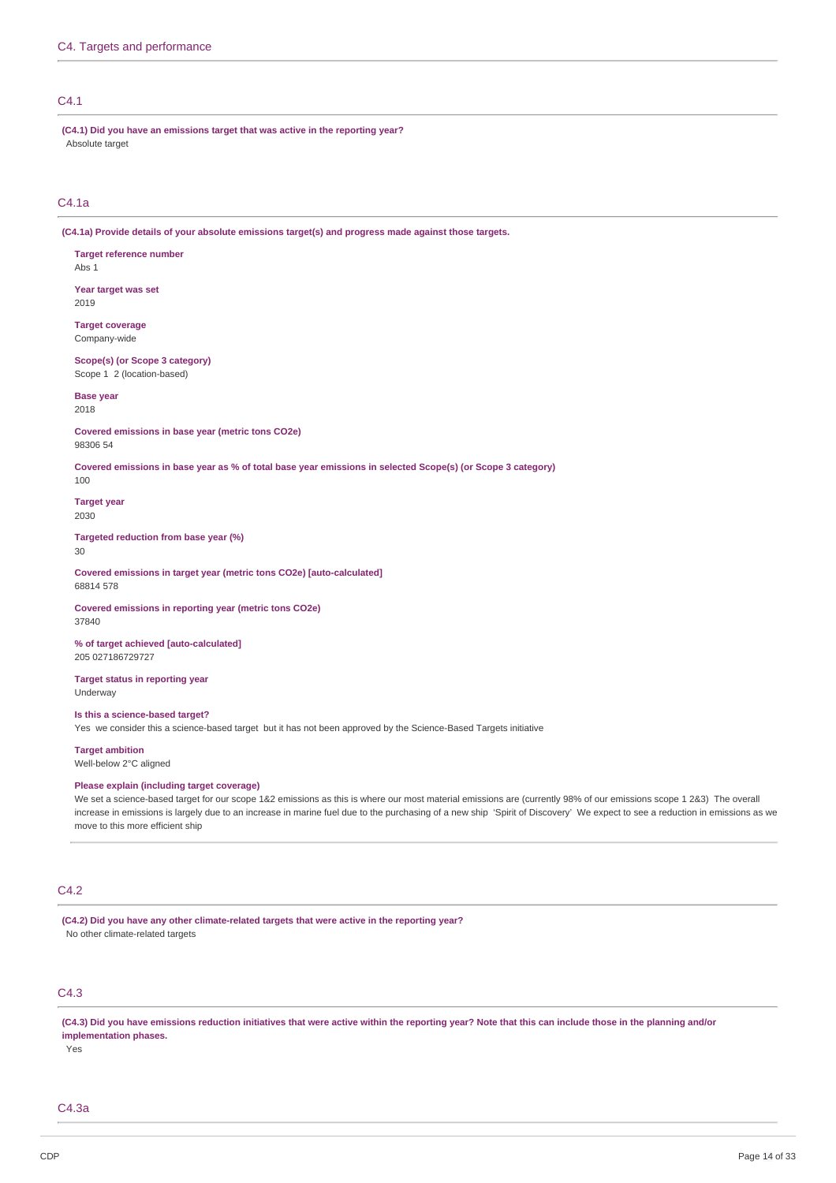# C4.1

**(C4.1) Did you have an emissions target that was active in the reporting year?** Absolute target

### C4.1a

**(C4.1a) Provide details of your absolute emissions target(s) and progress made against those targets.**

**Target reference number** Abs 1 **Year target was set** 2019

**Target coverage**

Company-wide

**Scope(s) (or Scope 3 category)** Scope 1 2 (location-based)

### **Base year**

2018

**Covered emissions in base year (metric tons CO2e)** 98306 54

**Covered emissions in base year as % of total base year emissions in selected Scope(s) (or Scope 3 category)**

100

**Target year** 2030

**Targeted reduction from base year (%)**

 $30$ 

**Covered emissions in target year (metric tons CO2e) [auto-calculated]** 68814 578

**Covered emissions in reporting year (metric tons CO2e)** 37840

**% of target achieved [auto-calculated]** 205 027186729727

**Target status in reporting year** Underway

# **Is this a science-based target?**

Yes we consider this a science-based target but it has not been approved by the Science-Based Targets initiative

**Target ambition**

Well-below 2°C aligned

# **Please explain (including target coverage)**

We set a science-based target for our scope 1&2 emissions as this is where our most material emissions are (currently 98% of our emissions scope 1 2&3) The overall increase in emissions is largely due to an increase in marine fuel due to the purchasing of a new ship 'Spirit of Discovery' We expect to see a reduction in emissions as we move to this more efficient ship

## C4.2

**(C4.2) Did you have any other climate-related targets that were active in the reporting year?** No other climate-related targets

# C4.3

**(C4.3) Did you have emissions reduction initiatives that were active within the reporting year? Note that this can include those in the planning and/or implementation phases.**

Yes

C4.3a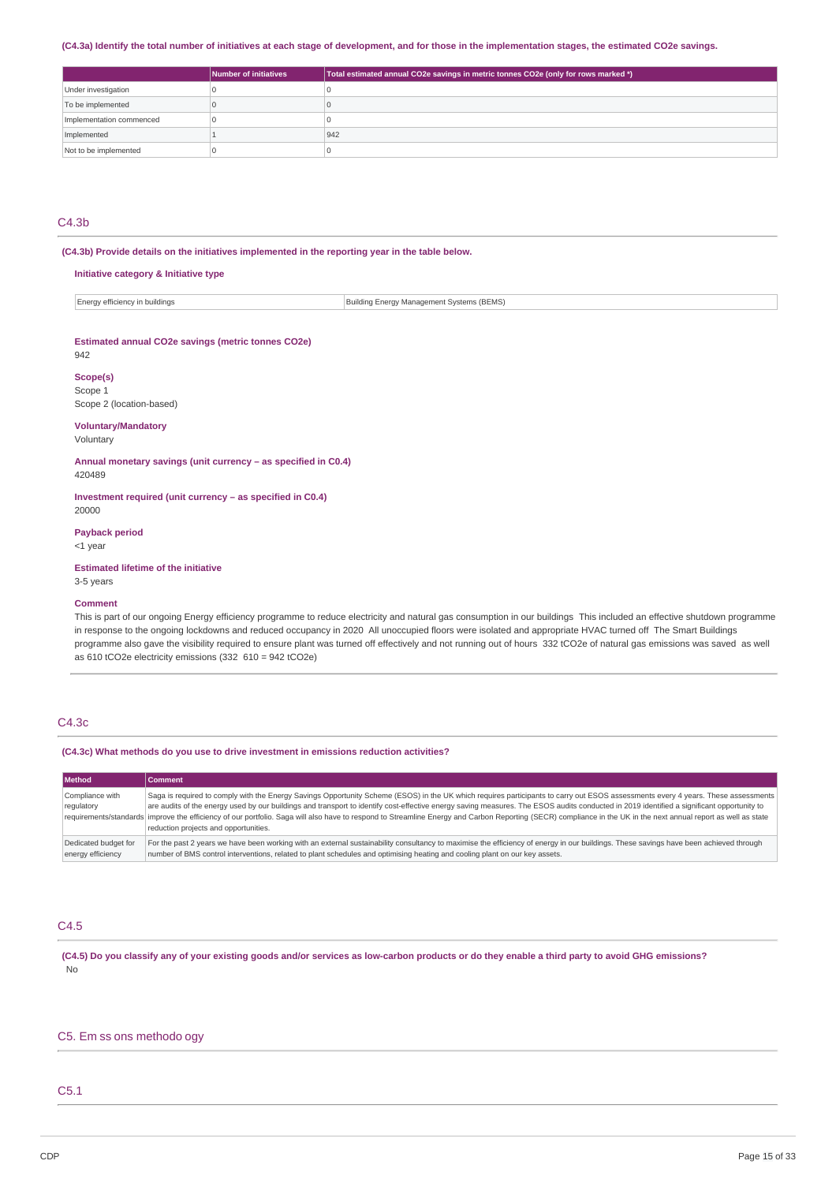#### **(C4.3a) Identify the total number of initiatives at each stage of development, and for those in the implementation stages, the estimated CO2e savings.**

|                          | Number of initiatives | Total estimated annual CO2e savings in metric tonnes CO2e (only for rows marked *) |
|--------------------------|-----------------------|------------------------------------------------------------------------------------|
| Under investigation      |                       |                                                                                    |
| To be implemented        |                       |                                                                                    |
| Implementation commenced |                       |                                                                                    |
| Implemented              |                       | 942                                                                                |
| Not to be implemented    |                       |                                                                                    |

# C4.3b

**(C4.3b) Provide details on the initiatives implemented in the reporting year in the table below.**

#### **Initiative category & Initiative type**

| Building Energy Management Systems (BEMS)<br>Energy efficiency in buildings |  |  |  |
|-----------------------------------------------------------------------------|--|--|--|
|-----------------------------------------------------------------------------|--|--|--|

#### **Estimated annual CO2e savings (metric tonnes CO2e)**

942

#### **Scope(s)**

Scope 1 Scope 2 (location-based)

#### **Voluntary/Mandatory**

Voluntary

**Annual monetary savings (unit currency – as specified in C0.4)** 420489

**Investment required (unit currency – as specified in C0.4)** 20000

#### **Payback period**

<1 year

**Estimated lifetime of the initiative**

3-5 years

# **Comment**

This is part of our ongoing Energy efficiency programme to reduce electricity and natural gas consumption in our buildings This included an effective shutdown programme in response to the ongoing lockdowns and reduced occupancy in 2020 All unoccupied floors were isolated and appropriate HVAC turned off The Smart Buildings programme also gave the visibility required to ensure plant was turned off effectively and not running out of hours 332 tCO2e of natural gas emissions was saved as well as 610 tCO2e electricity emissions (332 610 = 942 tCO2e)

### C4.3c

#### **(C4.3c) What methods do you use to drive investment in emissions reduction activities?**

| Method               | Comment                                                                                                                                                                                                         |
|----------------------|-----------------------------------------------------------------------------------------------------------------------------------------------------------------------------------------------------------------|
| Compliance with      | Saga is required to comply with the Energy Savings Opportunity Scheme (ESOS) in the UK which requires participants to carry out ESOS assessments every 4 years. These assessments                               |
| regulatory           | are audits of the energy used by our buildings and transport to identify cost-effective energy saving measures. The ESOS audits conducted in 2019 identified a significant opportunity to                       |
|                      | requirements/standards improve the efficiency of our portfolio. Saga will also have to respond to Streamline Energy and Carbon Reporting (SECR) compliance in the UK in the next annual report as well as state |
|                      | reduction projects and opportunities.                                                                                                                                                                           |
| Dedicated budget for | For the past 2 years we have been working with an external sustainability consultancy to maximise the efficiency of energy in our buildings. These savings have been achieved through                           |
| energy efficiency    | number of BMS control interventions, related to plant schedules and optimising heating and cooling plant on our key assets.                                                                                     |

#### C4.5

**(C4.5) Do you classify any of your existing goods and/or services as low-carbon products or do they enable a third party to avoid GHG emissions?** No

# C5. Em ss ons methodo ogy

# C5.1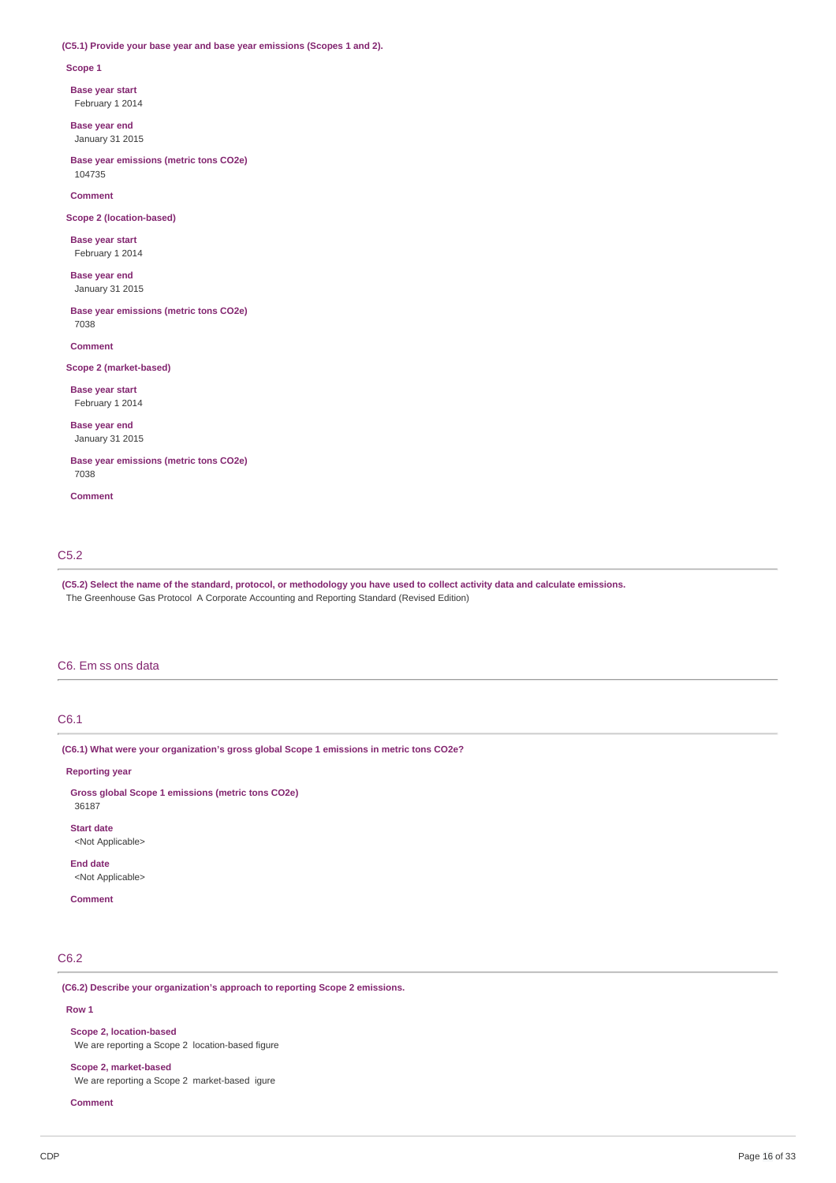### **(C5.1) Provide your base year and base year emissions (Scopes 1 and 2).**

#### **Scope 1**

**Base year start**

February 1 2014

**Base year end** January 31 2015

**Base year emissions (metric tons CO2e)** 104735

**Comment**

**Scope 2 (location-based)**

**Base year start** February 1 2014

**Base year end** January 31 2015

**Base year emissions (metric tons CO2e)** 7038

**Comment**

#### **Scope 2 (market-based)**

**Base year start** February 1 2014

**Base year end** January 31 2015

**Base year emissions (metric tons CO2e)** 7038

**Comment**

### C5.2

**(C5.2) Select the name of the standard, protocol, or methodology you have used to collect activity data and calculate emissions.** The Greenhouse Gas Protocol A Corporate Accounting and Reporting Standard (Revised Edition)

### C6. Em ss ons data

# C6.1

**(C6.1) What were your organization's gross global Scope 1 emissions in metric tons CO2e?**

**Reporting year**

**Gross global Scope 1 emissions (metric tons CO2e)** 36187

**Start date** <Not Applicable>

**End date** <Not Applicable>

### **Comment**

# C6.2

**(C6.2) Describe your organization's approach to reporting Scope 2 emissions.**

### **Row 1**

**Scope 2, location-based** We are reporting a Scope 2 location-based figure

# **Scope 2, market-based**

We are reporting a Scope 2 market-based igure

#### **Comment**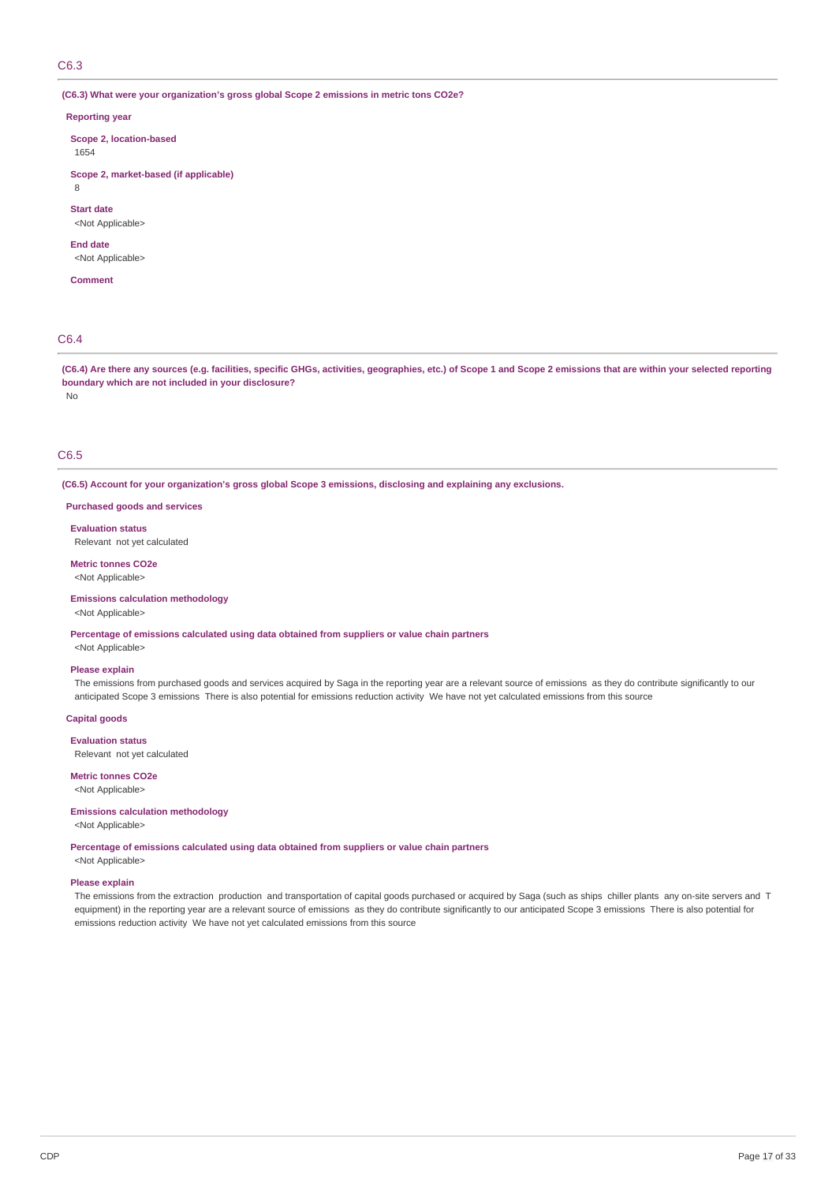### C6.3

**(C6.3) What were your organization's gross global Scope 2 emissions in metric tons CO2e?**

#### **Reporting year**

**Scope 2, location-based**

1654

**Scope 2, market-based (if applicable)**

8

**Start date**

<Not Applicable>

**End date**

<Not Applicable>

**Comment**

# C6.4

No

**(C6.4) Are there any sources (e.g. facilities, specific GHGs, activities, geographies, etc.) of Scope 1 and Scope 2 emissions that are within your selected reporting boundary which are not included in your disclosure?**

# C6.5

**(C6.5) Account for your organization's gross global Scope 3 emissions, disclosing and explaining any exclusions.**

**Purchased goods and services**

**Evaluation status** Relevant not yet calculated

**Metric tonnes CO2e** <Not Applicable>

**Emissions calculation methodology**

<Not Applicable>

**Percentage of emissions calculated using data obtained from suppliers or value chain partners**

<Not Applicable>

## **Please explain**

The emissions from purchased goods and services acquired by Saga in the reporting year are a relevant source of emissions as they do contribute significantly to our anticipated Scope 3 emissions There is also potential for emissions reduction activity We have not yet calculated emissions from this source

**Capital goods**

**Evaluation status**

Relevant not yet calculated

**Metric tonnes CO2e** <Not Applicable>

#### **Emissions calculation methodology**

<Not Applicable>

**Percentage of emissions calculated using data obtained from suppliers or value chain partners**

<Not Applicable>

# **Please explain**

The emissions from the extraction production and transportation of capital goods purchased or acquired by Saga (such as ships chiller plants any on-site servers and T equipment) in the reporting year are a relevant source of emissions as they do contribute significantly to our anticipated Scope 3 emissions There is also potential for emissions reduction activity We have not yet calculated emissions from this source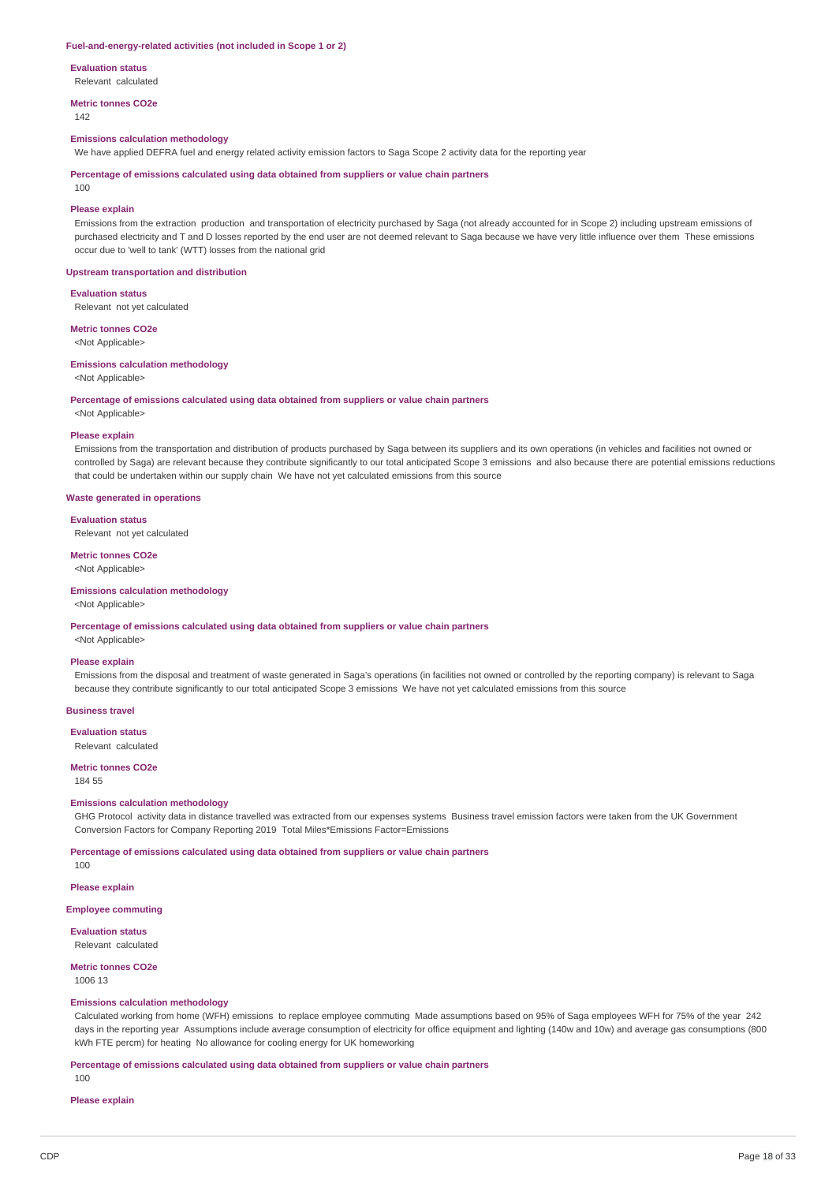#### **Fuel-and-energy-related activities (not included in Scope 1 or 2)**

**Evaluation status**

Relevant calculated

**Metric tonnes CO2e**

142

# **Emissions calculation methodology**

We have applied DEFRA fuel and energy related activity emission factors to Saga Scope 2 activity data for the reporting year

**Percentage of emissions calculated using data obtained from suppliers or value chain partners**

 $100$ 

#### **Please explain**

Emissions from the extraction production and transportation of electricity purchased by Saga (not already accounted for in Scope 2) including upstream emissions of purchased electricity and T and D losses reported by the end user are not deemed relevant to Saga because we have very little influence over them These emissions occur due to 'well to tank' (WTT) losses from the national grid

#### **Upstream transportation and distribution**

**Evaluation status**

Relevant not yet calculated

### **Metric tonnes CO2e**

<Not Applicable>

#### **Emissions calculation methodology**

<Not Applicable>

#### **Percentage of emissions calculated using data obtained from suppliers or value chain partners**

### <Not Applicable>

#### **Please explain**

Emissions from the transportation and distribution of products purchased by Saga between its suppliers and its own operations (in vehicles and facilities not owned or controlled by Saga) are relevant because they contribute significantly to our total anticipated Scope 3 emissions and also because there are potential emissions reductions that could be undertaken within our supply chain We have not yet calculated emissions from this source

#### **Waste generated in operations**

#### **Evaluation status**

Relevant not yet calculated

#### **Metric tonnes CO2e**

<Not Applicable>

#### **Emissions calculation methodology**

<Not Applicable>

**Percentage of emissions calculated using data obtained from suppliers or value chain partners**

# <Not Applicable> **Please explain**

Emissions from the disposal and treatment of waste generated in Saga's operations (in facilities not owned or controlled by the reporting company) is relevant to Saga because they contribute significantly to our total anticipated Scope 3 emissions We have not yet calculated emissions from this source

#### **Business travel**

**Evaluation status** Relevant calculated

# **Metric tonnes CO2e**

184 55

#### **Emissions calculation methodology**

GHG Protocol activity data in distance travelled was extracted from our expenses systems Business travel emission factors were taken from the UK Government Conversion Factors for Company Reporting 2019 Total Miles\*Emissions Factor=Emissions

#### **Percentage of emissions calculated using data obtained from suppliers or value chain partners**

100

# **Please explain**

### **Employee commuting**

**Evaluation status** Relevant calculated

# **Metric tonnes CO2e**

1006 13

#### **Emissions calculation methodology**

Calculated working from home (WFH) emissions to replace employee commuting Made assumptions based on 95% of Saga employees WFH for 75% of the year 242 days in the reporting year Assumptions include average consumption of electricity for office equipment and lighting (140w and 10w) and average gas consumptions (800 kWh FTE percm) for heating No allowance for cooling energy for UK homeworking

#### **Percentage of emissions calculated using data obtained from suppliers or value chain partners**

100

# **Please explain**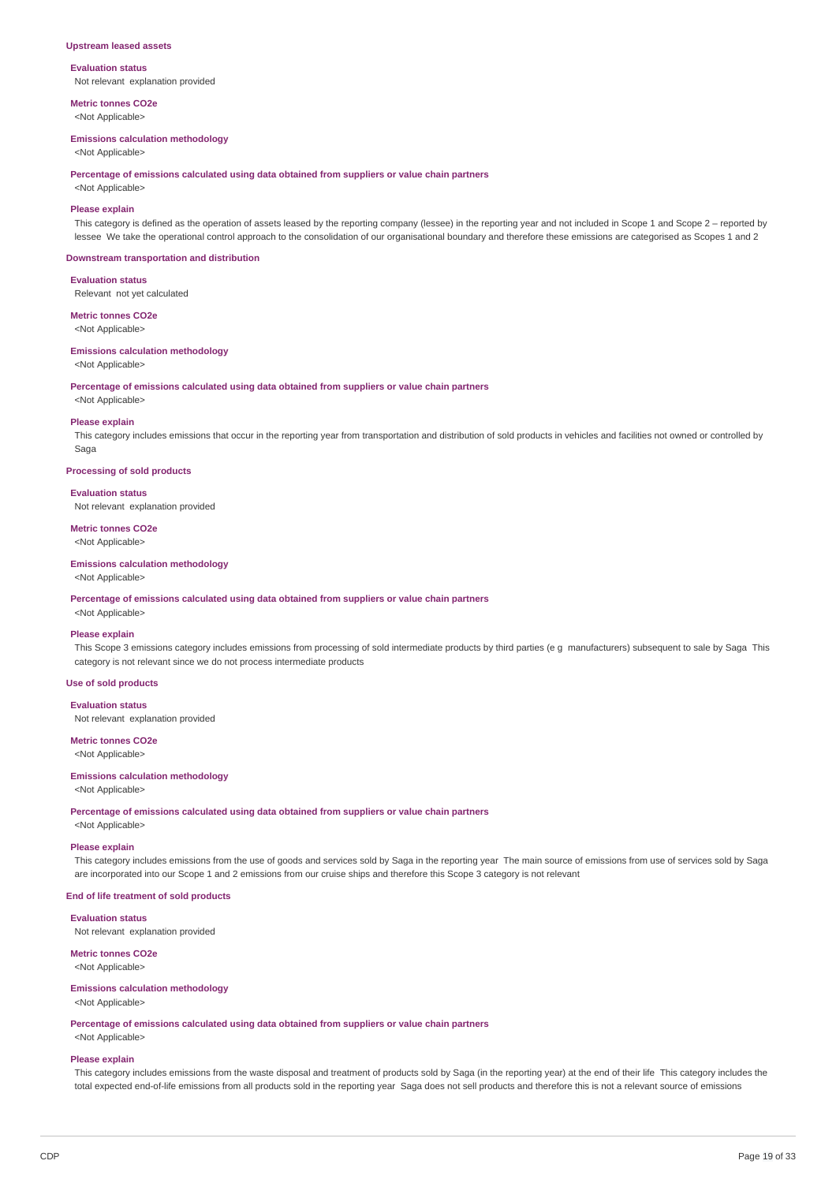#### **Upstream leased assets**

### **Evaluation status** Not relevant explanation provided

**Metric tonnes CO2e**

<Not Applicable>

### **Emissions calculation methodology**

<Not Applicable>

**Percentage of emissions calculated using data obtained from suppliers or value chain partners**

# <Not Applicable>

**Please explain** This category is defined as the operation of assets leased by the reporting company (lessee) in the reporting year and not included in Scope 1 and Scope 2 – reported by lessee We take the operational control approach to the consolidation of our organisational boundary and therefore these emissions are categorised as Scopes 1 and 2

#### **Downstream transportation and distribution**

**Evaluation status**

Relevant not yet calculated

### **Metric tonnes CO2e**

<Not Applicable>

# **Emissions calculation methodology**

<Not Applicable>

**Percentage of emissions calculated using data obtained from suppliers or value chain partners**

<Not Applicable>

#### **Please explain**

This category includes emissions that occur in the reporting year from transportation and distribution of sold products in vehicles and facilities not owned or controlled by Saga

#### **Processing of sold products**

#### **Evaluation status**

Not relevant explanation provided

# **Metric tonnes CO2e**

<Not Applicable>

### **Emissions calculation methodology**

<Not Applicable>

#### **Percentage of emissions calculated using data obtained from suppliers or value chain partners**

# <Not Applicable>

**Please explain**

This Scope 3 emissions category includes emissions from processing of sold intermediate products by third parties (e g manufacturers) subsequent to sale by Saga This category is not relevant since we do not process intermediate products

### **Use of sold products**

### **Evaluation status**

Not relevant explanation provided

# **Metric tonnes CO2e**

<Not Applicable>

### **Emissions calculation methodology**

#### <Not Applicable>

**Percentage of emissions calculated using data obtained from suppliers or value chain partners**

<Not Applicable>

#### **Please explain**

This category includes emissions from the use of goods and services sold by Saga in the reporting year The main source of emissions from use of services sold by Saga are incorporated into our Scope 1 and 2 emissions from our cruise ships and therefore this Scope 3 category is not relevant

#### **End of life treatment of sold products**

**Evaluation status**

Not relevant explanation provided

# **Metric tonnes CO2e**

<Not Applicable>

#### **Emissions calculation methodology** <Not Applicable>

**Percentage of emissions calculated using data obtained from suppliers or value chain partners** <Not Applicable>

# **Please explain**

This category includes emissions from the waste disposal and treatment of products sold by Saga (in the reporting year) at the end of their life This category includes the total expected end-of-life emissions from all products sold in the reporting year Saga does not sell products and therefore this is not a relevant source of emissions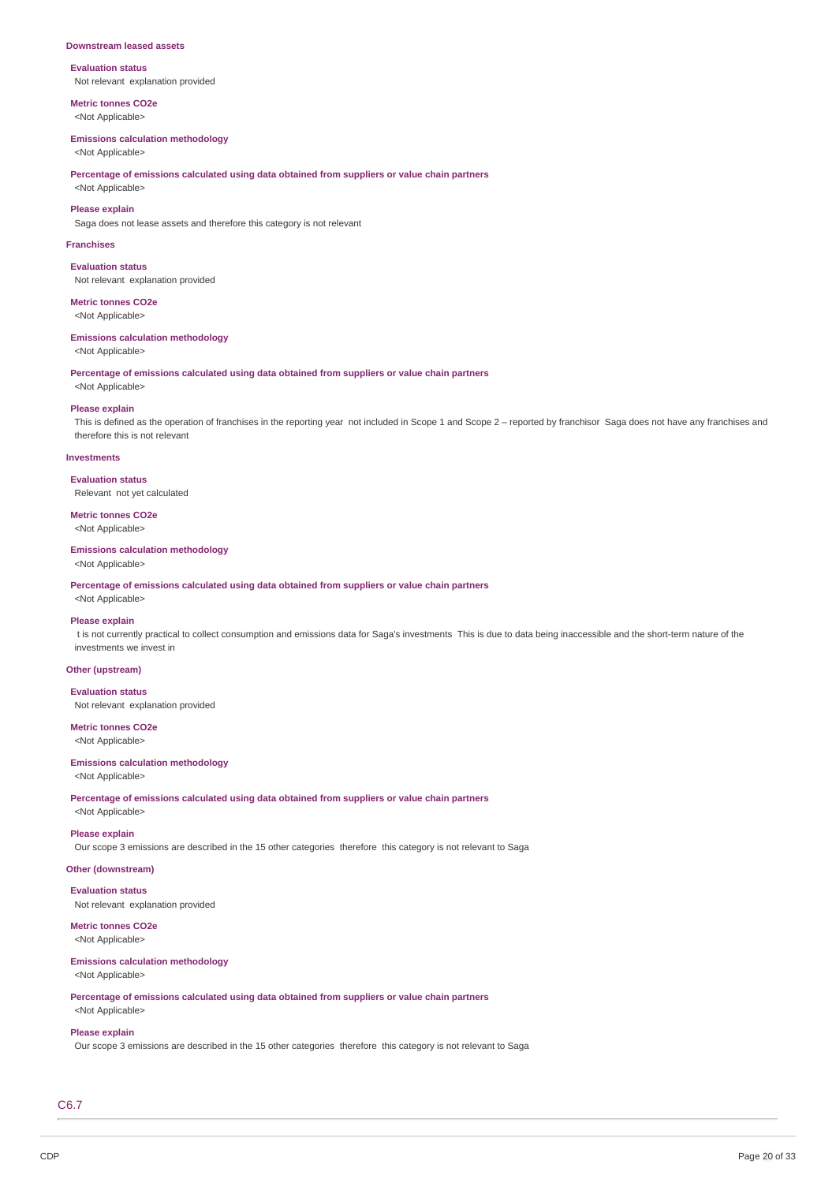#### **Downstream leased assets**

#### **Evaluation status** Not relevant explanation provided

**Metric tonnes CO2e**

<Not Applicable>

## **Emissions calculation methodology**

<Not Applicable>

**Percentage of emissions calculated using data obtained from suppliers or value chain partners**

# <Not Applicable> **Please explain**

Saga does not lease assets and therefore this category is not relevant

#### **Franchises**

**Evaluation status** Not relevant explanation provided

**Metric tonnes CO2e** <Not Applicable>

**Emissions calculation methodology**

<Not Applicable>

**Percentage of emissions calculated using data obtained from suppliers or value chain partners**

# <Not Applicable> **Please explain**

This is defined as the operation of franchises in the reporting year not included in Scope 1 and Scope 2 – reported by franchisor Saga does not have any franchises and therefore this is not relevant

#### **Investments**

**Evaluation status** Relevant not yet calculated

**Metric tonnes CO2e**

<Not Applicable>

### **Emissions calculation methodology**

<Not Applicable>

**Percentage of emissions calculated using data obtained from suppliers or value chain partners**

# <Not Applicable>

# **Please explain**

t is not currently practical to collect consumption and emissions data for Saga's investments This is due to data being inaccessible and the short-term nature of the investments we invest in

### **Other (upstream)**

#### **Evaluation status**

Not relevant explanation provided

#### **Metric tonnes CO2e** <Not Applicable>

# **Emissions calculation methodology** <Not Applicable>

**Percentage of emissions calculated using data obtained from suppliers or value chain partners** <Not Applicable>

# **Please explain**

Our scope 3 emissions are described in the 15 other categories therefore this category is not relevant to Saga

#### **Other (downstream)**

**Evaluation status**

Not relevant explanation provided

#### **Metric tonnes CO2e** <Not Applicable>

# **Emissions calculation methodology**

# <Not Applicable>

**Percentage of emissions calculated using data obtained from suppliers or value chain partners** <Not Applicable>

# **Please explain**

Our scope 3 emissions are described in the 15 other categories therefore this category is not relevant to Saga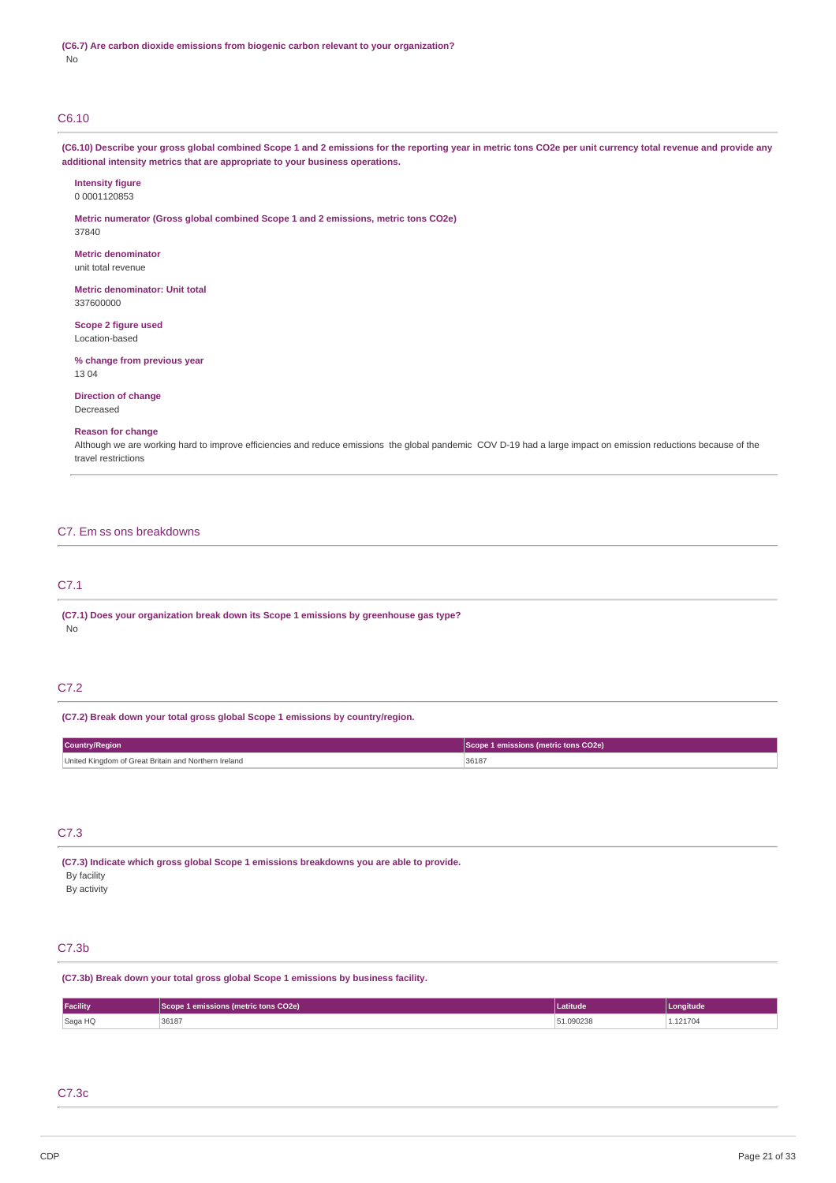# C6.10

**(C6.10) Describe your gross global combined Scope 1 and 2 emissions for the reporting year in metric tons CO2e per unit currency total revenue and provide any additional intensity metrics that are appropriate to your business operations.**

#### **Intensity figure** 0 0001120853

**Metric numerator (Gross global combined Scope 1 and 2 emissions, metric tons CO2e)** 37840

**Metric denominator** unit total revenue

**Metric denominator: Unit total** 337600000

**Scope 2 figure used** Location-based

**% change from previous year** 13 04

**Direction of change** Decreased

# **Reason for change**

Although we are working hard to improve efficiencies and reduce emissions the global pandemic COV D-19 had a large impact on emission reductions because of the travel restrictions

### C7. Em ss ons breakdowns

# C7.1

**(C7.1) Does your organization break down its Scope 1 emissions by greenhouse gas type?** No

# C7.2

**(C7.2) Break down your total gross global Scope 1 emissions by country/region.**

| <b>Country/Region</b>                                | Scope 1 emissions (metric tons CO2e) |
|------------------------------------------------------|--------------------------------------|
| United Kingdom of Great Britain and Northern Ireland | 36187                                |

# C7.3

**(C7.3) Indicate which gross global Scope 1 emissions breakdowns you are able to provide.** By facility

By activity

# C7.3b

**(C7.3b) Break down your total gross global Scope 1 emissions by business facility.**

| Facility | CO2e)      | Latitude             | onaitude       |
|----------|------------|----------------------|----------------|
| Saga HQ  | 36187<br>. | กววย<br>エルシンとつし<br>. | 1017c<br>21700 |

# C7.3c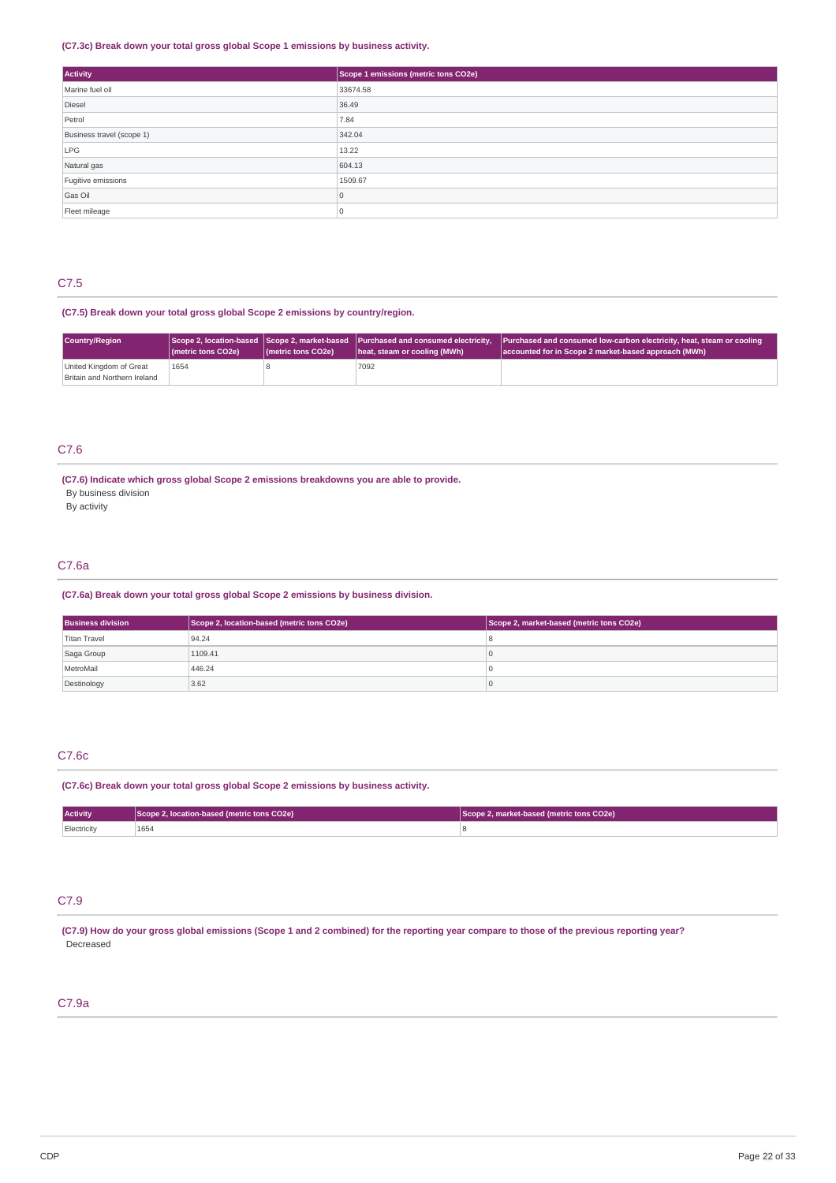### **(C7.3c) Break down your total gross global Scope 1 emissions by business activity.**

| <b>Activity</b>           | Scope 1 emissions (metric tons CO2e) |
|---------------------------|--------------------------------------|
| Marine fuel oil           | 33674.58                             |
| Diesel                    | 36.49                                |
| Petrol                    | 7.84                                 |
| Business travel (scope 1) | 342.04                               |
| LPG                       | 13.22                                |
| Natural gas               | 604.13                               |
| Fugitive emissions        | 1509.67                              |
| Gas Oil                   | $\Omega$                             |
| Fleet mileage             |                                      |

# C7.5

# **(C7.5) Break down your total gross global Scope 2 emissions by country/region.**

| Country/Region                                          | (metric tons CO2e) | (metric tons CO2e) | Scope 2, location-based Scope 2, market-based Purchased and consumed electricity,<br>heat, steam or cooling (MWh) | Purchased and consumed low-carbon electricity, heat, steam or cooling<br>accounted for in Scope 2 market-based approach (MWh) |
|---------------------------------------------------------|--------------------|--------------------|-------------------------------------------------------------------------------------------------------------------|-------------------------------------------------------------------------------------------------------------------------------|
| United Kingdom of Great<br>Britain and Northern Ireland | 1654               |                    | 7092                                                                                                              |                                                                                                                               |

# C7.6

**(C7.6) Indicate which gross global Scope 2 emissions breakdowns you are able to provide.**

By business division

By activity

# C7.6a

# **(C7.6a) Break down your total gross global Scope 2 emissions by business division.**

| <b>Business division</b> | Scope 2, location-based (metric tons CO2e) | Scope 2, market-based (metric tons CO2e) |
|--------------------------|--------------------------------------------|------------------------------------------|
| Titan Travel             | 94.24                                      |                                          |
| Saga Group               | 1109.41                                    |                                          |
| MetroMail                | 446.24                                     |                                          |
| Destinology              | 3.62                                       |                                          |

# C7.6c

# **(C7.6c) Break down your total gross global Scope 2 emissions by business activity.**

| <b>Activity</b> | Scope 2, location-based (metric tons CO2e) | Scope 2, market-based (metric tons CO2e) |
|-----------------|--------------------------------------------|------------------------------------------|
| Electricity     | 1654                                       |                                          |

# C7.9

(C7.9) How do your gross global emissions (Scope 1 and 2 combined) for the reporting year compare to those of the previous reporting year? Decreased

# C7.9a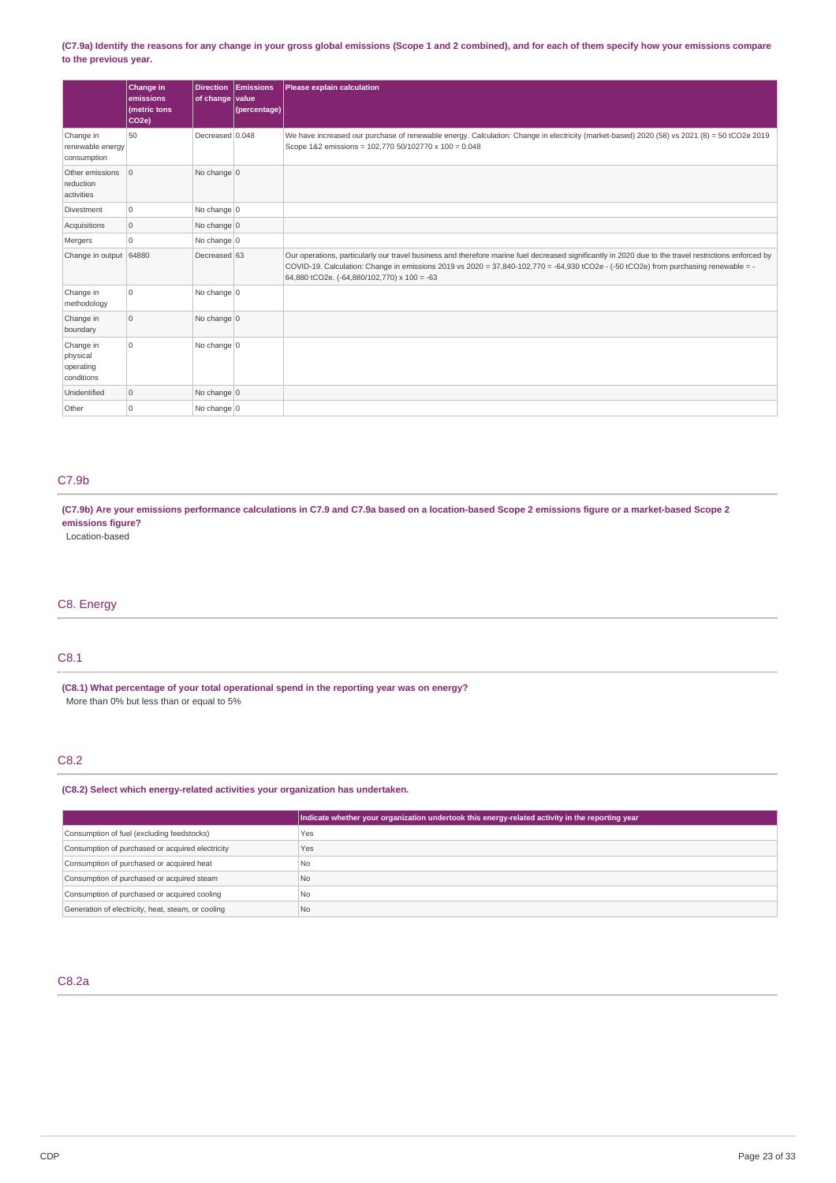### (C7.9a) Identify the reasons for any change in your gross global emissions (Scope 1 and 2 combined), and for each of them specify how your emissions compare **to the previous year.**

|                                                  | Change in<br>emissions<br>(metric tons<br>CO <sub>2e</sub> ) | <b>Direction</b><br>of change value | Emissions<br>(percentage) | <b>Please explain calculation</b>                                                                                                                                                                                                                                                                                                            |
|--------------------------------------------------|--------------------------------------------------------------|-------------------------------------|---------------------------|----------------------------------------------------------------------------------------------------------------------------------------------------------------------------------------------------------------------------------------------------------------------------------------------------------------------------------------------|
| Change in<br>renewable energy<br>consumption     | 50                                                           | Decreased 0.048                     |                           | We have increased our purchase of renewable energy. Calculation: Change in electricity (market-based) 2020 (58) vs 2021 (8) = 50 tCO2e 2019<br>Scope 1&2 emissions = 102,770 50/102770 x 100 = 0.048                                                                                                                                         |
| Other emissions<br>reduction<br>activities       | $\overline{0}$                                               | No change 0                         |                           |                                                                                                                                                                                                                                                                                                                                              |
| <b>Divestment</b>                                | $\mathbf 0$                                                  | No change $\vert$ 0                 |                           |                                                                                                                                                                                                                                                                                                                                              |
| Acquisitions                                     | $\mathbb O$                                                  | No change 0                         |                           |                                                                                                                                                                                                                                                                                                                                              |
| Mergers                                          | $\mathbf 0$                                                  | No change 0                         |                           |                                                                                                                                                                                                                                                                                                                                              |
| Change in output                                 | 64880                                                        | Decreased 63                        |                           | Our operations, particularly our travel business and therefore marine fuel decreased significantly in 2020 due to the travel restrictions enforced by<br>COVID-19. Calculation: Change in emissions 2019 vs 2020 = 37,840-102,770 = -64,930 tCO2e - (-50 tCO2e) from purchasing renewable = -<br>64,880 tCO2e. (-64,880/102,770) x 100 = -63 |
| Change in<br>methodology                         | O                                                            | No change 0                         |                           |                                                                                                                                                                                                                                                                                                                                              |
| Change in<br>boundary                            | $\circ$                                                      | No change $0$                       |                           |                                                                                                                                                                                                                                                                                                                                              |
| Change in<br>physical<br>operating<br>conditions | 0                                                            | No change 0                         |                           |                                                                                                                                                                                                                                                                                                                                              |
| Unidentified                                     | $\mathbf 0$                                                  | No change $0$                       |                           |                                                                                                                                                                                                                                                                                                                                              |
| Other                                            | $\mathbf 0$                                                  | No change 0                         |                           |                                                                                                                                                                                                                                                                                                                                              |

# C7.9b

(C7.9b) Are your emissions performance calculations in C7.9 and C7.9a based on a location-based Scope 2 emissions figure or a market-based Scope 2 **emissions figure?**

Location-based

# C8. Energy

# C8.1

**(C8.1) What percentage of your total operational spend in the reporting year was on energy?** More than 0% but less than or equal to 5%

# C8.2

**(C8.2) Select which energy-related activities your organization has undertaken.**

|                                                    | Indicate whether your organization undertook this energy-related activity in the reporting year |
|----------------------------------------------------|-------------------------------------------------------------------------------------------------|
| Consumption of fuel (excluding feedstocks)         | Yes                                                                                             |
| Consumption of purchased or acquired electricity   | Yes                                                                                             |
| Consumption of purchased or acquired heat          | No.                                                                                             |
| Consumption of purchased or acquired steam         | N <sub>0</sub>                                                                                  |
| Consumption of purchased or acquired cooling       | No.                                                                                             |
| Generation of electricity, heat, steam, or cooling | l No                                                                                            |

# C8.2a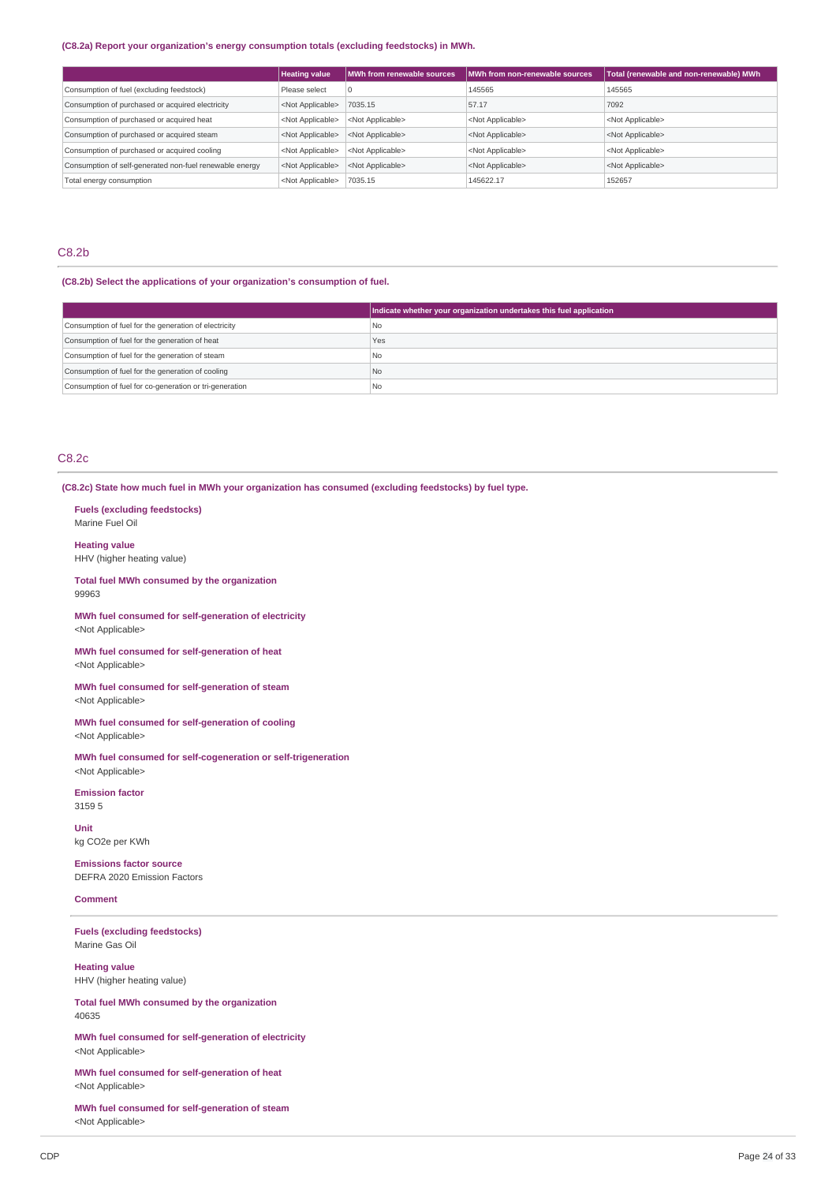### **(C8.2a) Report your organization's energy consumption totals (excluding feedstocks) in MWh.**

|                                                         | <b>Heating value</b>      | MWh from renewable sources | MWh from non-renewable sources | Total (renewable and non-renewable) MWh |
|---------------------------------------------------------|---------------------------|----------------------------|--------------------------------|-----------------------------------------|
| Consumption of fuel (excluding feedstock)               | Please select             | $\overline{0}$             | 145565                         | 145565                                  |
| Consumption of purchased or acquired electricity        | <not applicable=""></not> | 7035.15                    | 57.17                          | 7092                                    |
| Consumption of purchased or acquired heat               | <not applicable=""></not> | <not applicable=""></not>  | <not applicable=""></not>      | <not applicable=""></not>               |
| Consumption of purchased or acquired steam              | <not applicable=""></not> | <not applicable=""></not>  | <not applicable=""></not>      | <not applicable=""></not>               |
| Consumption of purchased or acquired cooling            | <not applicable=""></not> | <not applicable=""></not>  | <not applicable=""></not>      | <not applicable=""></not>               |
| Consumption of self-generated non-fuel renewable energy | <not applicable=""></not> | <not applicable=""></not>  | <not applicable=""></not>      | <not applicable=""></not>               |
| Total energy consumption                                | <not applicable=""></not> | 7035.15                    | 145622.17                      | 152657                                  |

# C8.2b

# **(C8.2b) Select the applications of your organization's consumption of fuel.**

|                                                         | Indicate whether your organization undertakes this fuel application |
|---------------------------------------------------------|---------------------------------------------------------------------|
| Consumption of fuel for the generation of electricity   | No                                                                  |
| Consumption of fuel for the generation of heat          | Yes                                                                 |
| Consumption of fuel for the generation of steam         | I No                                                                |
| Consumption of fuel for the generation of cooling       | No                                                                  |
| Consumption of fuel for co-generation or tri-generation | l No                                                                |

# C8.2c

**(C8.2c) State how much fuel in MWh your organization has consumed (excluding feedstocks) by fuel type.**

**Fuels (excluding feedstocks)** Marine Fuel Oil

**Heating value** HHV (higher heating value)

**Total fuel MWh consumed by the organization** 99963

**MWh fuel consumed for self-generation of electricity** <Not Applicable>

**MWh fuel consumed for self-generation of heat** <Not Applicable>

**MWh fuel consumed for self-generation of steam** <Not Applicable>

**MWh fuel consumed for self-generation of cooling** <Not Applicable>

**MWh fuel consumed for self-cogeneration or self-trigeneration** <Not Applicable>

**Emission factor** 3159 5

**Unit** kg CO2e per KWh

**Emissions factor source** DEFRA 2020 Emission Factors

# **Comment**

**Fuels (excluding feedstocks)** Marine Gas Oil

**Heating value** HHV (higher heating value)

**Total fuel MWh consumed by the organization** 40635

**MWh fuel consumed for self-generation of electricity** <Not Applicable>

**MWh fuel consumed for self-generation of heat** <Not Applicable>

**MWh fuel consumed for self-generation of steam** <Not Applicable>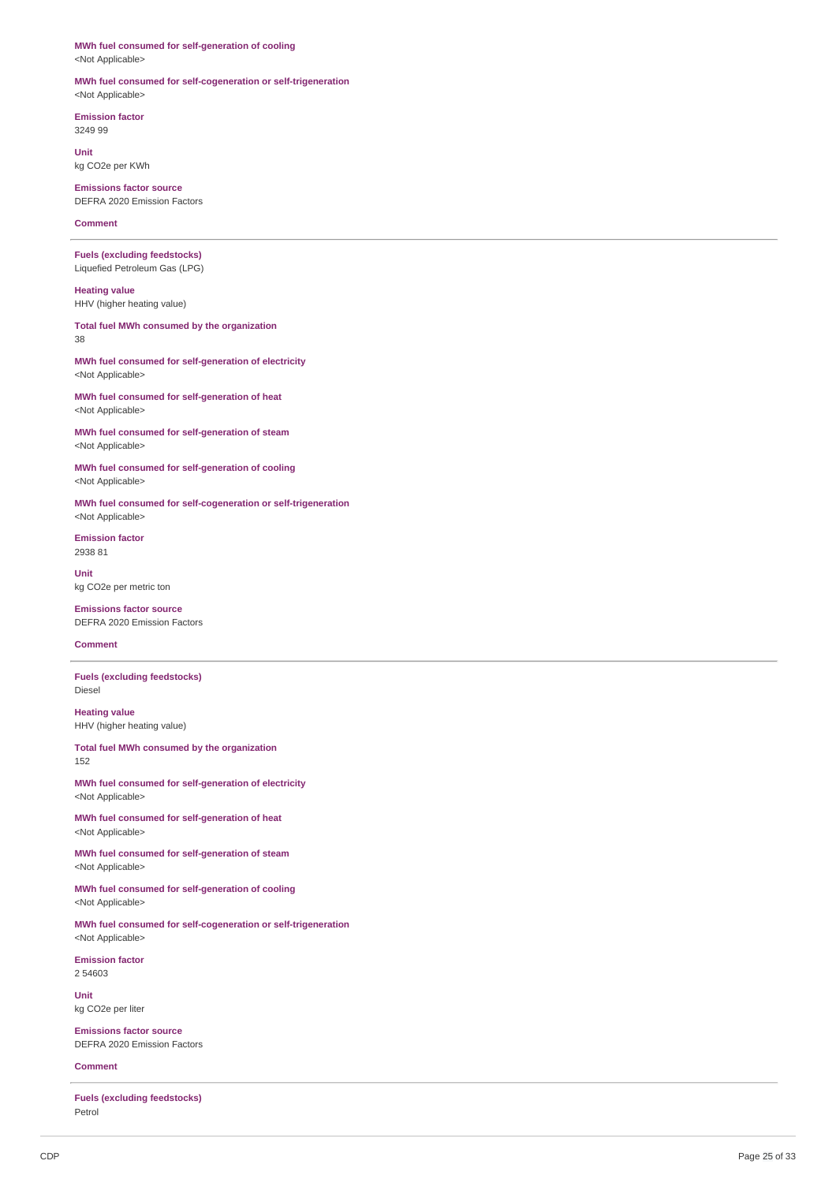# **MWh fuel consumed for self-generation of cooling**

<Not Applicable>

### **MWh fuel consumed for self-cogeneration or self-trigeneration** <Not Applicable>

**Emission factor** 3249 99

**Unit** kg CO2e per KWh

**Emissions factor source** DEFRA 2020 Emission Factors

**Comment**

**Fuels (excluding feedstocks)** Liquefied Petroleum Gas (LPG)

**Heating value** HHV (higher heating value)

**Total fuel MWh consumed by the organization** 38

**MWh fuel consumed for self-generation of electricity** <Not Applicable>

**MWh fuel consumed for self-generation of heat** <Not Applicable>

**MWh fuel consumed for self-generation of steam** <Not Applicable>

**MWh fuel consumed for self-generation of cooling** <Not Applicable>

**MWh fuel consumed for self-cogeneration or self-trigeneration** <Not Applicable>

**Emission factor** 2938 81

**Unit** kg CO2e per metric ton

**Emissions factor source** DEFRA 2020 Emission Factors

# **Comment**

**Fuels (excluding feedstocks)** Diesel

**Heating value** HHV (higher heating value)

**Total fuel MWh consumed by the organization** 152

**MWh fuel consumed for self-generation of electricity** <Not Applicable>

**MWh fuel consumed for self-generation of heat** <Not Applicable>

**MWh fuel consumed for self-generation of steam** <Not Applicable>

**MWh fuel consumed for self-generation of cooling** <Not Applicable>

**MWh fuel consumed for self-cogeneration or self-trigeneration** <Not Applicable>

**Emission factor** 2 54603

**Unit** kg CO2e per liter

**Emissions factor source** DEFRA 2020 Emission Factors

**Comment**

**Fuels (excluding feedstocks)** Petrol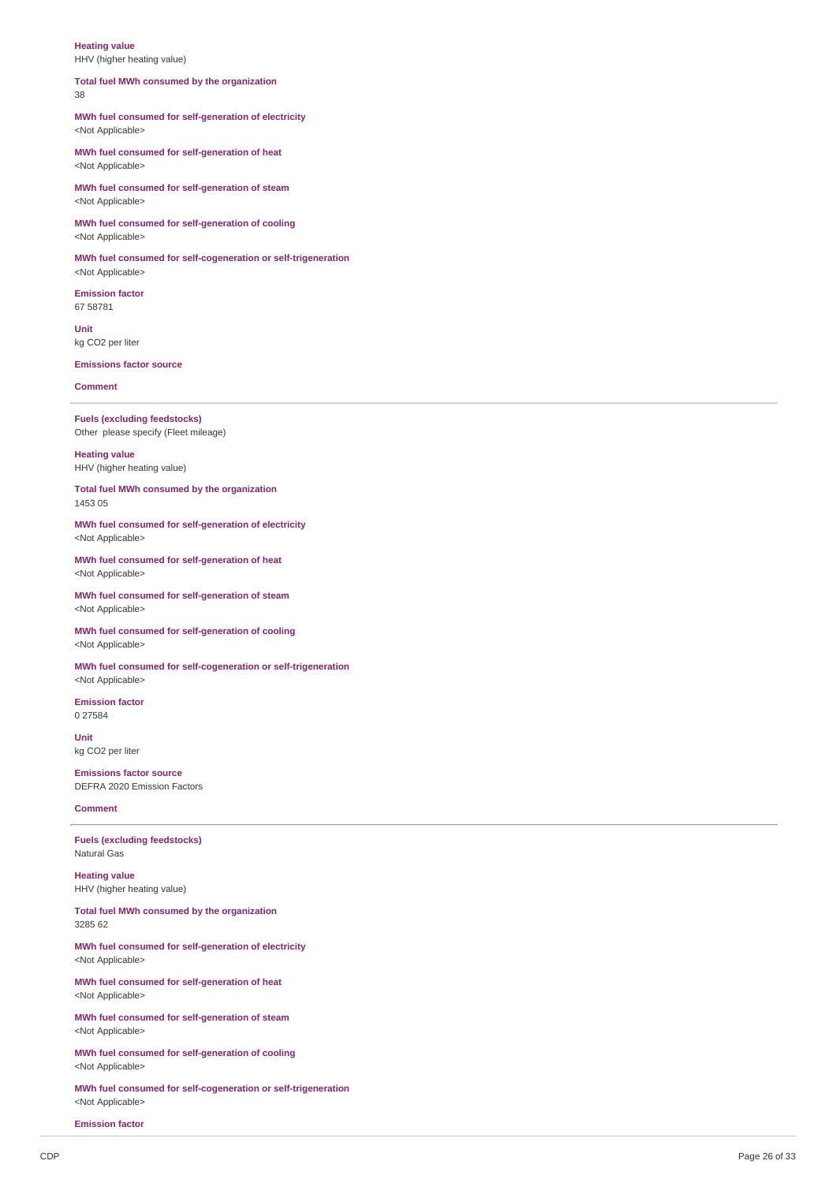#### **Heating value** HHV (higher heating value)

#### **Total fuel MWh consumed by the organization** 38

### **MWh fuel consumed for self-generation of electricity** <Not Applicable>

**MWh fuel consumed for self-generation of heat** <Not Applicable>

**MWh fuel consumed for self-generation of steam** <Not Applicable>

**MWh fuel consumed for self-generation of cooling** <Not Applicable>

**MWh fuel consumed for self-cogeneration or self-trigeneration** <Not Applicable>

**Emission factor** 67 58781

**Unit** kg CO2 per liter

**Emissions factor source**

**Comment**

**Fuels (excluding feedstocks)** Other please specify (Fleet mileage)

**Heating value** HHV (higher heating value)

**Total fuel MWh consumed by the organization** 1453 05

**MWh fuel consumed for self-generation of electricity** <Not Applicable>

**MWh fuel consumed for self-generation of heat** <Not Applicable>

**MWh fuel consumed for self-generation of steam** <Not Applicable>

**MWh fuel consumed for self-generation of cooling** <Not Applicable>

**MWh fuel consumed for self-cogeneration or self-trigeneration** <Not Applicable>

**Emission factor** 0 27584

**Unit** kg CO2 per liter

**Emissions factor source** DEFRA 2020 Emission Factors

**Comment**

**Fuels (excluding feedstocks)** Natural Gas

**Heating value** HHV (higher heating value)

**Total fuel MWh consumed by the organization** 3285 62

**MWh fuel consumed for self-generation of electricity** <Not Applicable>

**MWh fuel consumed for self-generation of heat** <Not Applicable>

**MWh fuel consumed for self-generation of steam** <Not Applicable>

**MWh fuel consumed for self-generation of cooling** <Not Applicable>

**MWh fuel consumed for self-cogeneration or self-trigeneration** <Not Applicable>

**Emission factor**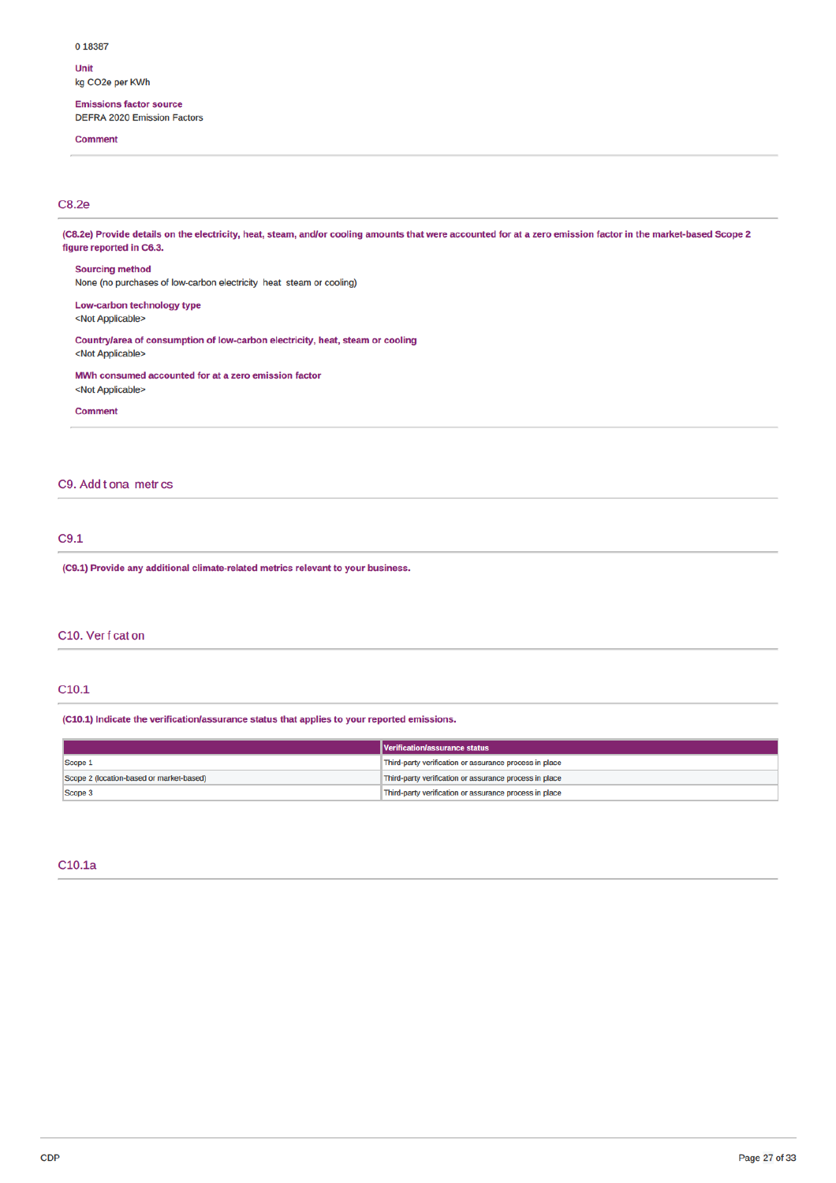#### 0 18387

Unit kg CO2e per KWh

# **Emissions factor source**

**DEFRA 2020 Emission Factors** 

**Comment** 

# C8.2e

(C8.2e) Provide details on the electricity, heat, steam, and/or cooling amounts that were accounted for at a zero emission factor in the market-based Scope 2 figure reported in C6.3. **Sourcing method** None (no purchases of low-carbon electricity heat steam or cooling) Low-carbon technology type <Not Applicable> Countrylarea of consumption of low-carbon electricity, heat, steam or cooling <Not Applicable> MWh consumed accounted for at a zero emission factor <Not Applicable> **Comment** 

# C9. Add t ona metr cs

# $C9.1$

(C9.1) Provide any additional climate-related metrics relevant to your business.

### C10. Ver f cat on

## $C10.1$

(C10.1) Indicate the verification/assurance status that applies to your reported emissions.

|                                          | Verification/assurance status                          |
|------------------------------------------|--------------------------------------------------------|
| Scope 1                                  | Third-party verification or assurance process in place |
| Scope 2 (location-based or market-based) | Third-party verification or assurance process in place |
| Scope 3                                  | Third-party verification or assurance process in place |

# C<sub>10.1a</sub>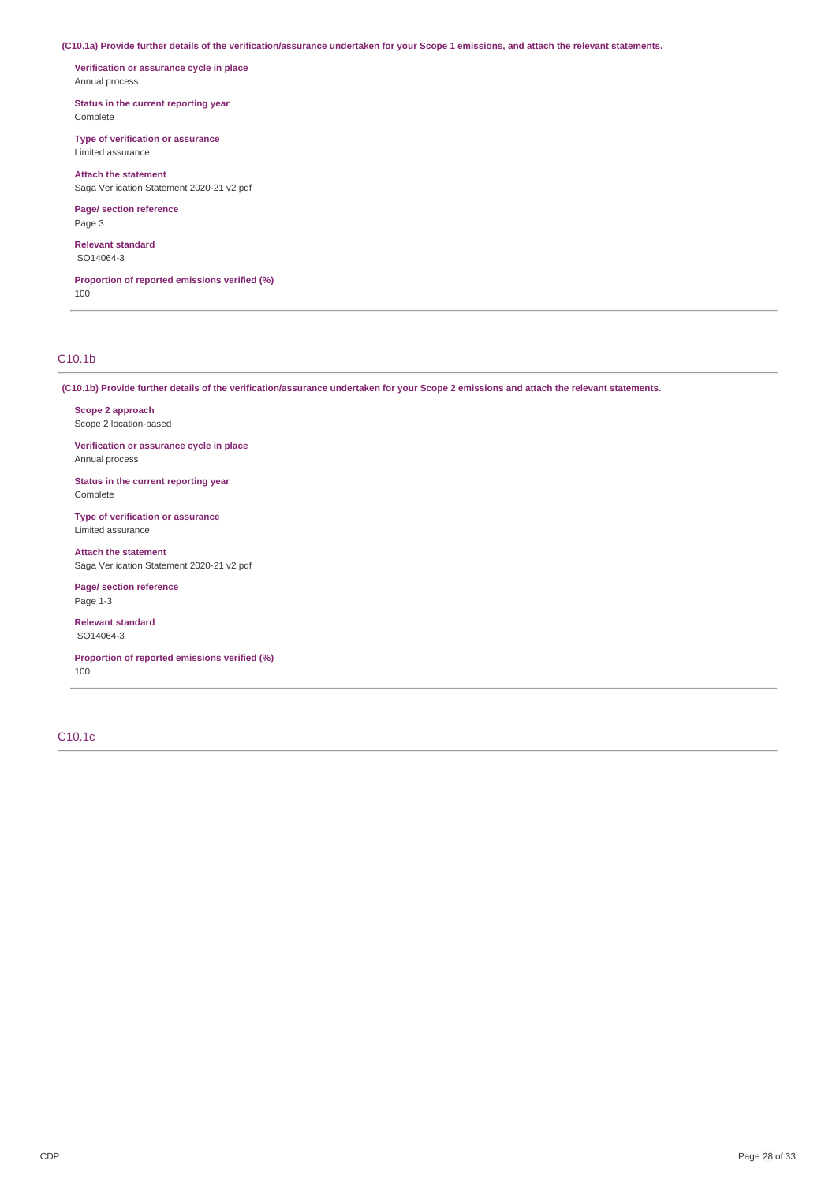**(C10.1a) Provide further details of the verification/assurance undertaken for your Scope 1 emissions, and attach the relevant statements.**

**Verification or assurance cycle in place** Annual process

**Status in the current reporting year** Complete

**Type of verification or assurance** Limited assurance

**Attach the statement** Saga Ver ication Statement 2020-21 v2 pdf

**Page/ section reference** Page 3

**Relevant standard** SO14064-3

**Proportion of reported emissions verified (%)** 100

# C10.1b

**(C10.1b) Provide further details of the verification/assurance undertaken for your Scope 2 emissions and attach the relevant statements.**

**Scope 2 approach** Scope 2 location-based

**Verification or assurance cycle in place** Annual process

**Status in the current reporting year** Complete

**Type of verification or assurance** Limited assurance

**Attach the statement** Saga Ver ication Statement 2020-21 v2 pdf

**Page/ section reference** Page 1-3

**Relevant standard** SO14064-3

**Proportion of reported emissions verified (%)** 100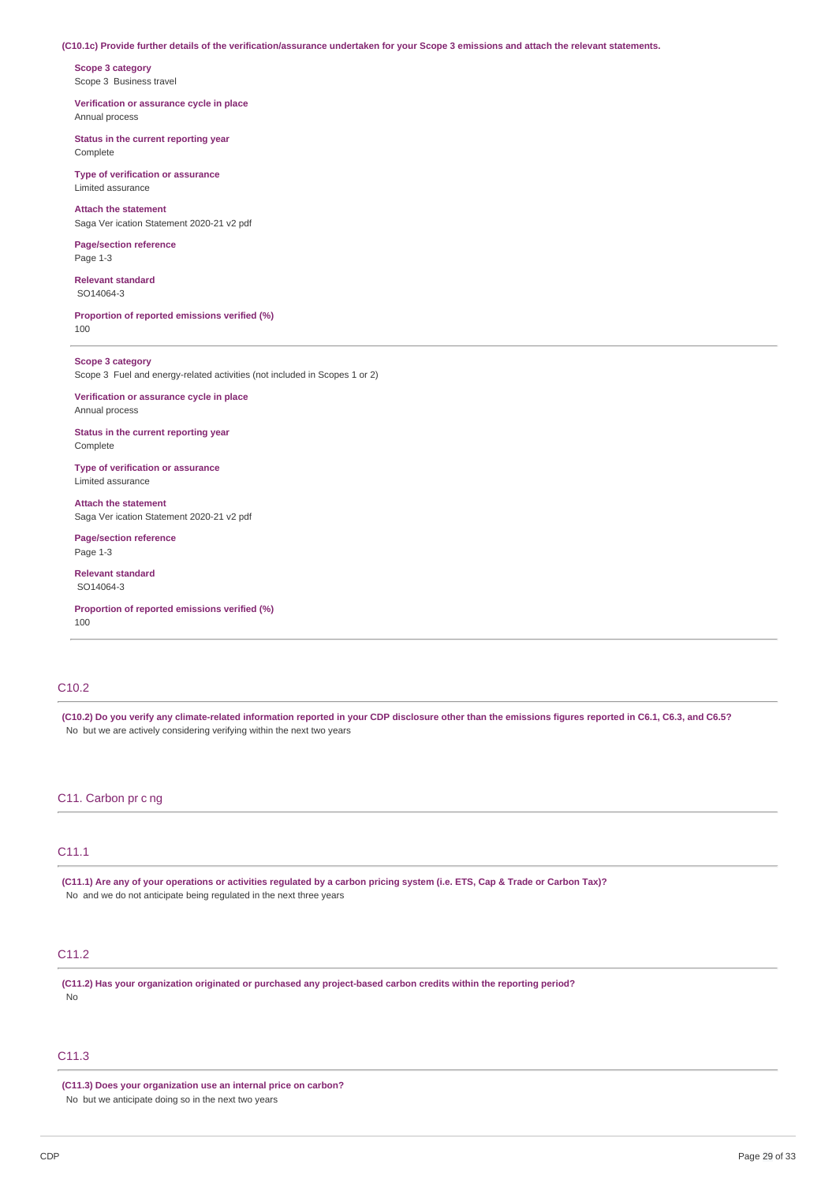#### **(C10.1c) Provide further details of the verification/assurance undertaken for your Scope 3 emissions and attach the relevant statements.**

**Scope 3 category** Scope 3 Business travel

**Verification or assurance cycle in place** Annual process

**Status in the current reporting year** Complete

**Type of verification or assurance** Limited assurance

**Attach the statement** Saga Ver ication Statement 2020-21 v2 pdf

**Page/section reference** Page 1-3

**Relevant standard** SO14064-3

**Proportion of reported emissions verified (%)** 100

**Scope 3 category** Scope 3 Fuel and energy-related activities (not included in Scopes 1 or 2)

**Verification or assurance cycle in place** Annual process

**Status in the current reporting year** Complete

**Type of verification or assurance** Limited assurance

**Attach the statement** Saga Ver ication Statement 2020-21 v2 pdf

**Page/section reference** Page 1-3

**Relevant standard** SO14064-3

**Proportion of reported emissions verified (%)** 100

# C<sub>10.2</sub>

**(C10.2) Do you verify any climate-related information reported in your CDP disclosure other than the emissions figures reported in C6.1, C6.3, and C6.5?** No but we are actively considering verifying within the next two years

### C11. Carbon pr c ng

# C11.1

**(C11.1) Are any of your operations or activities regulated by a carbon pricing system (i.e. ETS, Cap & Trade or Carbon Tax)?** No and we do not anticipate being regulated in the next three years

# C11.2

**(C11.2) Has your organization originated or purchased any project-based carbon credits within the reporting period?** No

# C11.3

**(C11.3) Does your organization use an internal price on carbon?** No but we anticipate doing so in the next two years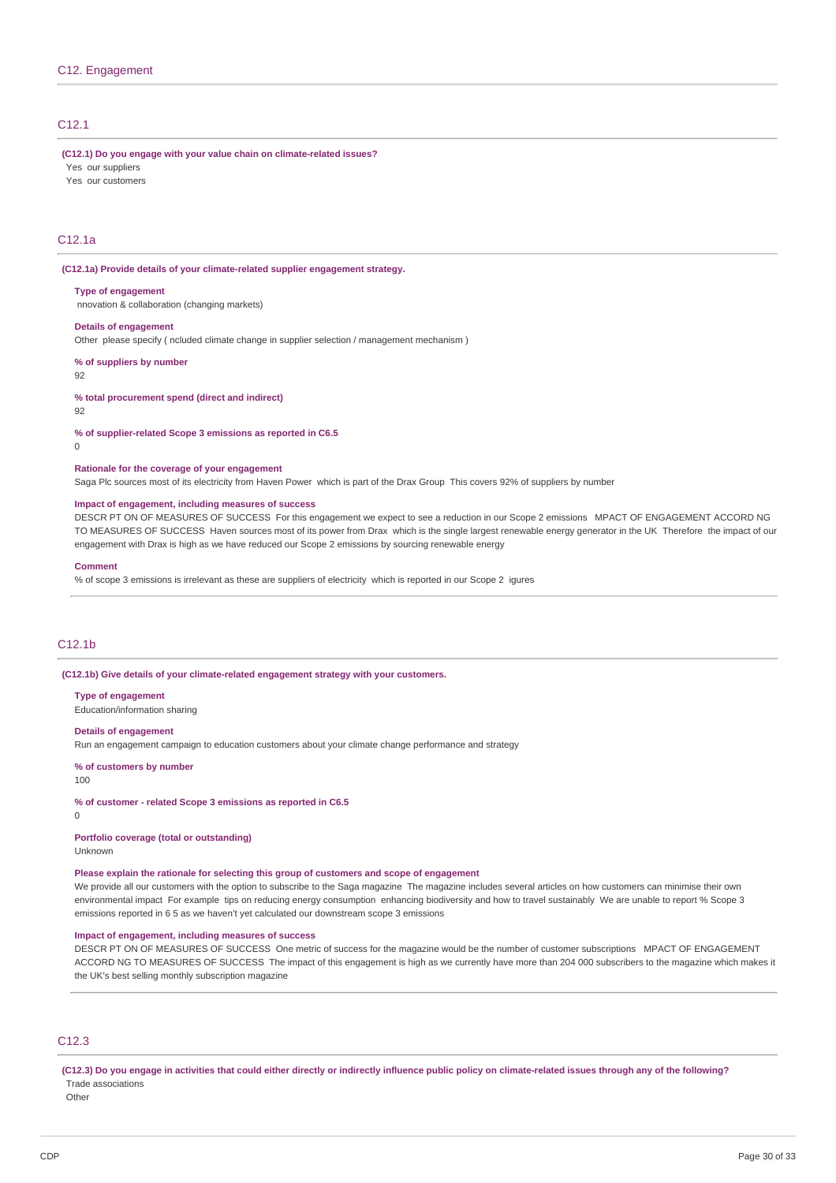# C12.1

#### **(C12.1) Do you engage with your value chain on climate-related issues?**

Yes our suppliers

Yes our customers

# C12.1a

#### **(C12.1a) Provide details of your climate-related supplier engagement strategy.**

#### **Type of engagement**

nnovation & collaboration (changing markets)

#### **Details of engagement**

Other please specify ( ncluded climate change in supplier selection / management mechanism )

#### **% of suppliers by number**

92

**% total procurement spend (direct and indirect)**

92

#### **% of supplier-related Scope 3 emissions as reported in C6.5**

 $\Omega$ 

# **Rationale for the coverage of your engagement**

Saga Plc sources most of its electricity from Haven Power which is part of the Drax Group This covers 92% of suppliers by number

#### **Impact of engagement, including measures of success**

DESCR PT ON OF MEASURES OF SUCCESS For this engagement we expect to see a reduction in our Scope 2 emissions MPACT OF ENGAGEMENT ACCORD NG TO MEASURES OF SUCCESS Haven sources most of its power from Drax which is the single largest renewable energy generator in the UK Therefore the impact of our engagement with Drax is high as we have reduced our Scope 2 emissions by sourcing renewable energy

#### **Comment**

% of scope 3 emissions is irrelevant as these are suppliers of electricity which is reported in our Scope 2 igures

# C<sub>12</sub>.1b

**(C12.1b) Give details of your climate-related engagement strategy with your customers.**

#### **Type of engagement**

Education/information sharing

#### **Details of engagement**

Run an engagement campaign to education customers about your climate change performance and strategy

#### **% of customers by number**

100

**% of customer - related Scope 3 emissions as reported in C6.5**

0

# **Portfolio coverage (total or outstanding)**

Unknown

# **Please explain the rationale for selecting this group of customers and scope of engagement**

We provide all our customers with the option to subscribe to the Saga magazine The magazine includes several articles on how customers can minimise their own environmental impact For example tips on reducing energy consumption enhancing biodiversity and how to travel sustainably We are unable to report % Scope 3 emissions reported in 6 5 as we haven't yet calculated our downstream scope 3 emissions

# **Impact of engagement, including measures of success**

DESCR PT ON OF MEASURES OF SUCCESS One metric of success for the magazine would be the number of customer subscriptions MPACT OF ENGAGEMENT ACCORD NG TO MEASURES OF SUCCESS The impact of this engagement is high as we currently have more than 204 000 subscribers to the magazine which makes it the UK's best selling monthly subscription magazine

# C12.3

**(C12.3) Do you engage in activities that could either directly or indirectly influence public policy on climate-related issues through any of the following?** Trade associations

**Other**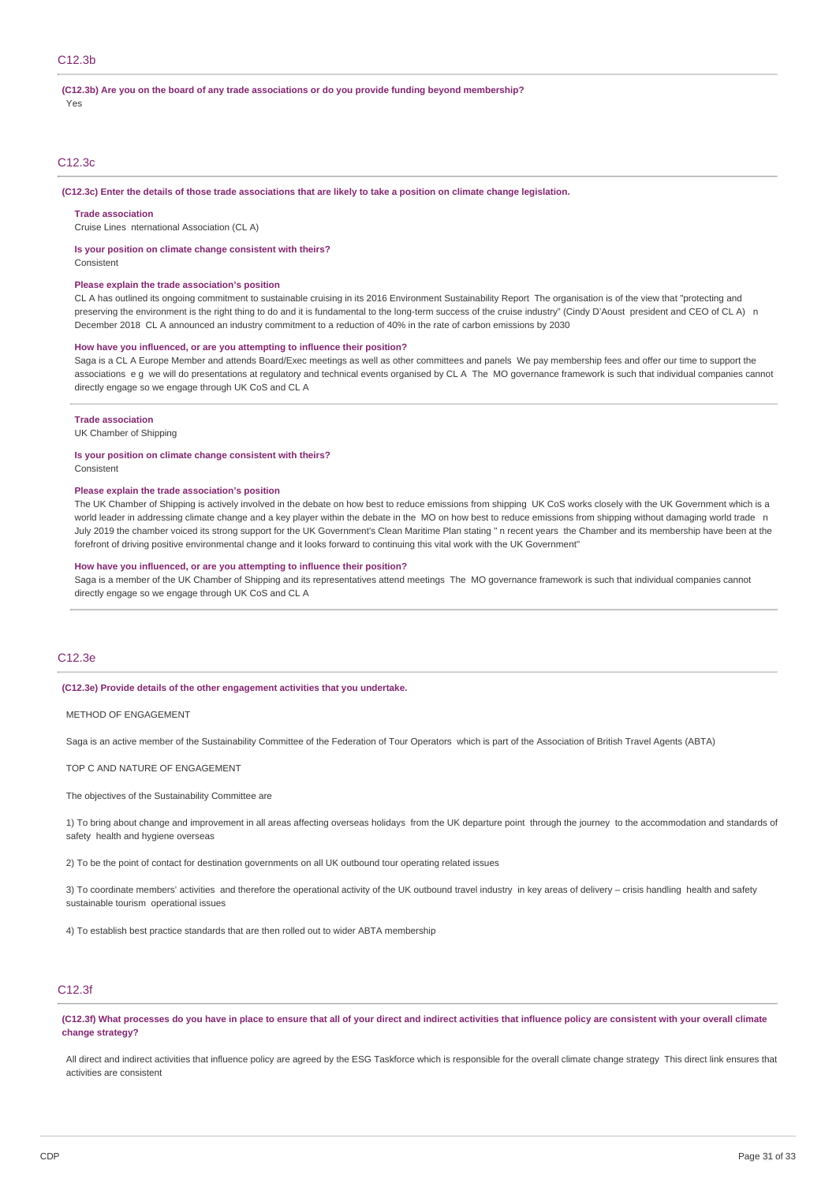# **(C12.3b) Are you on the board of any trade associations or do you provide funding beyond membership?**

Yes

# C12.3c

#### **(C12.3c) Enter the details of those trade associations that are likely to take a position on climate change legislation.**

#### **Trade association**

Cruise Lines nternational Association (CL A)

#### **Is your position on climate change consistent with theirs?**

Consistent

#### **Please explain the trade association's position**

CL A has outlined its ongoing commitment to sustainable cruising in its 2016 Environment Sustainability Report The organisation is of the view that "protecting and preserving the environment is the right thing to do and it is fundamental to the long-term success of the cruise industry" (Cindy D'Aoust president and CEO of CLA) n December 2018 CL A announced an industry commitment to a reduction of 40% in the rate of carbon emissions by 2030

#### **How have you influenced, or are you attempting to influence their position?**

Saga is a CL A Europe Member and attends Board/Exec meetings as well as other committees and panels. We pay membership fees and offer our time to support the associations e g we will do presentations at regulatory and technical events organised by CL A The MO governance framework is such that individual companies cannot directly engage so we engage through UK CoS and CL A

#### **Trade association**

UK Chamber of Shipping

**Is your position on climate change consistent with theirs?** Consistent

#### **Please explain the trade association's position**

The UK Chamber of Shipping is actively involved in the debate on how best to reduce emissions from shipping UK CoS works closely with the UK Government which is a world leader in addressing climate change and a key player within the debate in the MO on how best to reduce emissions from shipping without damaging world trade n July 2019 the chamber voiced its strong support for the UK Government's Clean Maritime Plan stating " n recent years the Chamber and its membership have been at the forefront of driving positive environmental change and it looks forward to continuing this vital work with the UK Government"

#### **How have you influenced, or are you attempting to influence their position?**

Saga is a member of the UK Chamber of Shipping and its representatives attend meetings The MO governance framework is such that individual companies cannot directly engage so we engage through UK CoS and CL A

# C12.3e

#### **(C12.3e) Provide details of the other engagement activities that you undertake.**

METHOD OF ENGAGEMENT

Saga is an active member of the Sustainability Committee of the Federation of Tour Operators which is part of the Association of British Travel Agents (ABTA)

TOP C AND NATURE OF ENGAGEMENT

The objectives of the Sustainability Committee are

1) To bring about change and improvement in all areas affecting overseas holidays from the UK departure point through the journey to the accommodation and standards of safety health and hygiene overseas

2) To be the point of contact for destination governments on all UK outbound tour operating related issues

3) To coordinate members' activities and therefore the operational activity of the UK outbound travel industry in key areas of delivery – crisis handling health and safety sustainable tourism operational issues

4) To establish best practice standards that are then rolled out to wider ABTA membership

# C12.3f

**(C12.3f) What processes do you have in place to ensure that all of your direct and indirect activities that influence policy are consistent with your overall climate change strategy?**

All direct and indirect activities that influence policy are agreed by the ESG Taskforce which is responsible for the overall climate change strategy This direct link ensures that activities are consistent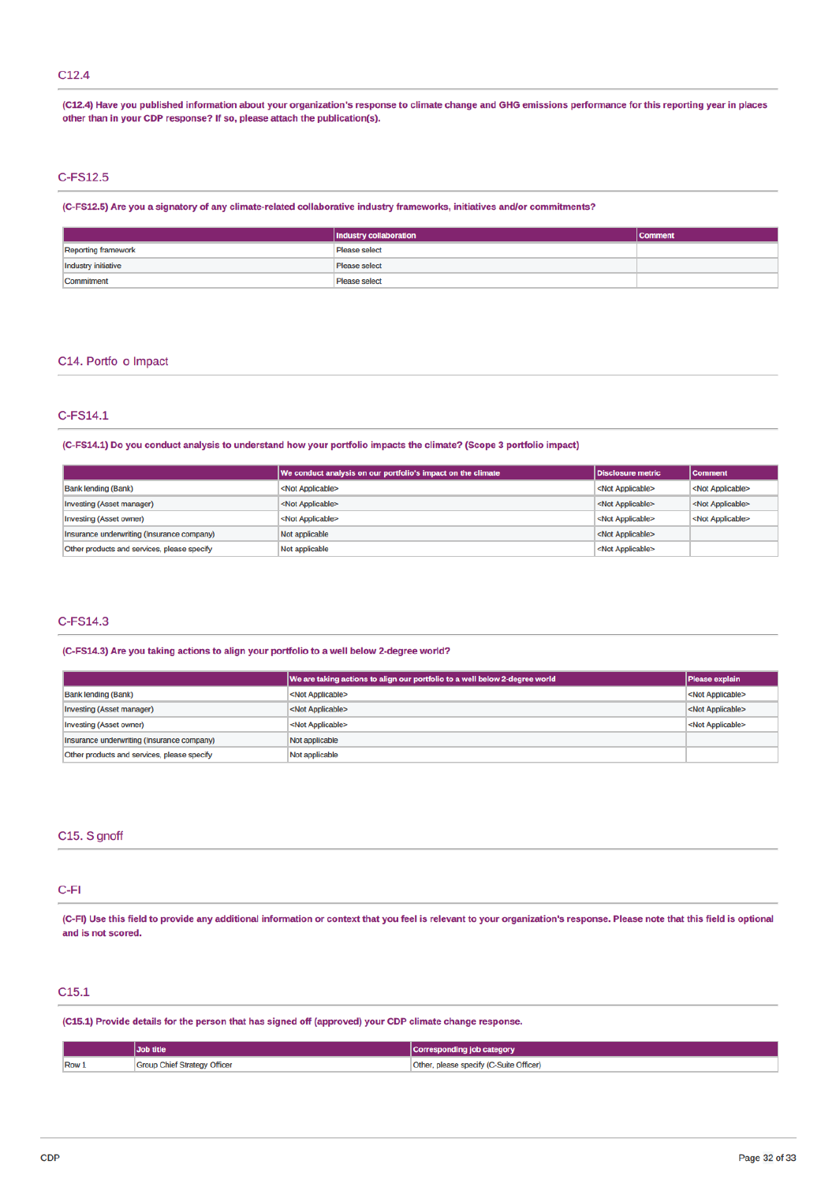# $C12.4$

(C12.4) Have you published information about your organization's response to climate change and GHG emissions performance for this reporting year in places other than in your CDP response? If so, please attach the publication(s).

# C-FS12.5

(C-FS12.5) Are you a signatory of any climate-related collaborative industry frameworks, initiatives and/or commitments?

|                            | Industry collaboration | <b>Comment</b> |
|----------------------------|------------------------|----------------|
| <b>Reporting framework</b> | <b>Please select</b>   |                |
| <b>Industry initiative</b> | Please select          |                |
| Commitment                 | Please select          |                |

# C14. Portfo o Impact

# C-FS14.1

(C-FS14.1) Do you conduct analysis to understand how your portfolio impacts the climate? (Scope 3 portfolio impact)

|                                             | We conduct analysis on our portfolio's impact on the climate | Disclosure metric         | <b>Comment</b>            |
|---------------------------------------------|--------------------------------------------------------------|---------------------------|---------------------------|
| <b>Bank lending (Bank)</b>                  | <not applicable=""></not>                                    | <not applicable=""></not> | <not applicable=""></not> |
| Investing (Asset manager)                   | <not applicable=""></not>                                    | <not applicable=""></not> | <not applicable=""></not> |
| Investing (Asset owner)                     | <not applicable=""></not>                                    | <not applicable=""></not> | <not applicable=""></not> |
| Insurance underwriting (Insurance company)  | Not applicable                                               | <not applicable=""></not> |                           |
| Other products and services, please specify | Not applicable                                               | <not applicable=""></not> |                           |

# C-FS14.3

#### (C-FS14.3) Are you taking actions to align your portfolio to a well below 2-degree world?

|                                             | We are taking actions to align our portfolio to a well below 2-degree world | <b>Please explain</b>     |
|---------------------------------------------|-----------------------------------------------------------------------------|---------------------------|
| <b>Bank lending (Bank)</b>                  | <not applicable=""></not>                                                   | <not applicable=""></not> |
| <b>Investing (Asset manager)</b>            | <not applicable=""></not>                                                   | <not applicable=""></not> |
| Investing (Asset owner)                     | <not applicable=""></not>                                                   | <not applicable=""></not> |
| Insurance underwriting (Insurance company)  | Not applicable                                                              |                           |
| Other products and services, please specify | Not applicable                                                              |                           |

### C15. S gnoff

# $C-FI$

(C-FI) Use this field to provide any additional information or context that you feel is relevant to your organization's response. Please note that this field is optional and is not scored.

# C<sub>15.1</sub>

(C15.1) Provide details for the person that has signed off (approved) your CDP climate change response.

|      | Job title                           | Corresponding job category              |
|------|-------------------------------------|-----------------------------------------|
| Row. | <b>Group Chief Strategy Officer</b> | Other, please specify (C-Suite Officer) |